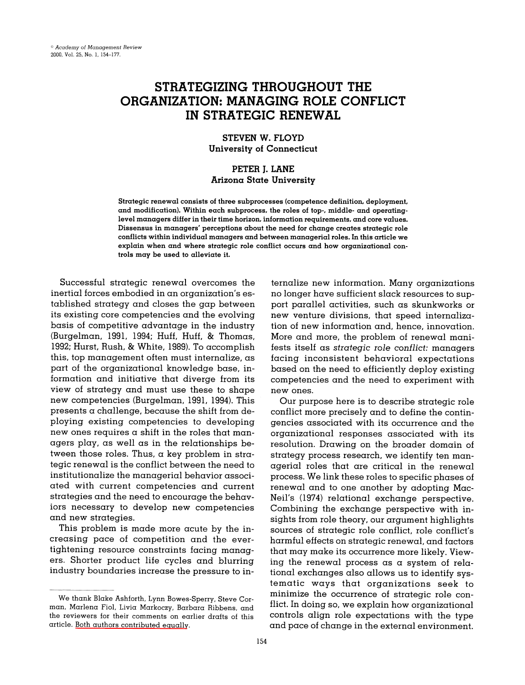# **STRATEGIZING THROUGHOUT THE ORGANIZATION: MANAGING ROLE CONFLICT IN STRATEGIC RENEWAL**

# **STEVEN W. FLOYD University of Connecticut**

# **PETER J. LANE Arizona State University**

**Strategic renewal consists of three subprocesses (competence definition, deployment, and modification). Within each subprocess, the roles of top-, middle- and operatinglevel managers differ in their time horizon, information requirements, and core values. Dissensus in managers' perceptions about the need for change creates strategic role conflicts within individual managers and between managerial roles. In this article we explain when and where strategic role conflict occurs and how organizational controls may be used to alleviate it.** 

**Successful strategic renewal overcomes the inertial forces embodied in an organization's established strategy and closes the gap between its existing core competencies and the evolving basis of competitive advantage in the industry (Burgelman, 1991, 1994; Huff, Huff, & Thomas, 1992; Hurst, Rush, & White, 1989). To accomplish this, top management often must internalize, as part of the organizational knowledge base, information and initiative that diverge from its view of strategy and must use these to shape new competencies (Burgelman, 1991, 1994). This presents a challenge, because the shift from deploying existing competencies to developing new ones requires a shift in the roles that managers play, as well as in the relationships between those roles. Thus, a key problem in strategic renewal is the conflict between the need to institutionalize the managerial behavior associated with current competencies and current strategies and the need to encourage the behaviors necessary to develop new competencies and new strategies.** 

**This problem is made more acute by the increasing pace of competition and the evertightening resource constraints facing managers. Shorter product life cycles and blurring industry boundaries increase the pressure to in-** **ternalize new information. Many organizations no longer have sufficient slack resources to support parallel activities, such as skunkworks or new venture divisions, that speed internalization of new information and, hence, innovation. More and more, the problem of renewal manifests itself as strategic role conflict: managers facing inconsistent behavioral expectations based on the need to efficiently deploy existing competencies and the need to experiment with new ones.** 

**Our purpose here is to describe strategic role conflict more precisely and to define the contingencies associated with its occurrence and the organizational responses associated with its resolution. Drawing on the broader domain of strategy process research, we identify ten managerial roles that are critical in the renewal process. We link these roles to specific phases of renewal and to one another by adopting Mac-Neil's (1974) relational exchange perspective. Combining the exchange perspective with insights from role theory, our argument highlights sources of strategic role conflict, role conflict's harmful effects on strategic renewal, and factors that may make its occurrence more likely. Viewing the renewal process as a system of relational exchanges also allows us to identify systematic ways that organizations seek to minimize the occurrence of strategic role conflict. In doing so, we explain how organizational controls align role expectations with the type and pace of change in the external environment.** 

**We thank Blake Ashforth, Lynn Bowes-Sperry, Steve Corman, Marlena Fiol, Livia Markoczy, Barbara Ribbens, and the reviewers for their comments on earlier drafts of this article. Both authors contributed equally.**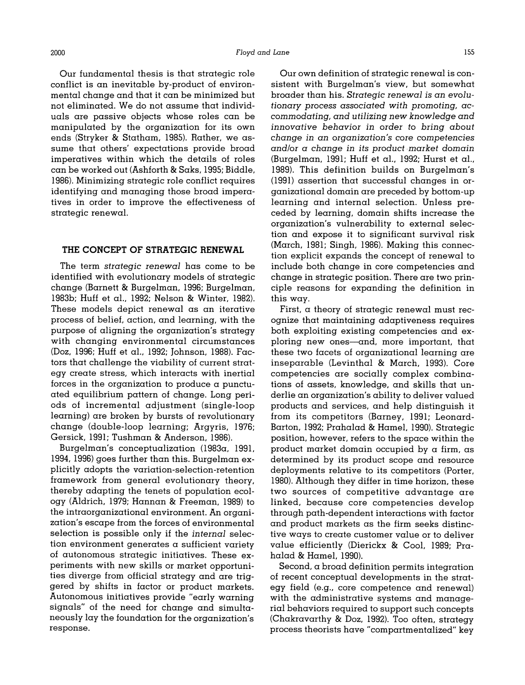**Our fundamental thesis is that strategic role conflict is an inevitable by-product of environmental change and that it can be minimized but not eliminated. We do not assume that individuals are passive objects whose roles can be manipulated by the organization for its own ends (Stryker & Statham, 1985). Rather, we assume that others' expectations provide broad imperatives within which the details of roles can be worked out (Ashforth & Saks, 1995; Biddle, 1986). Minimizing strategic role conflict requires identifying and managing those broad imperatives in order to improve the effectiveness of strategic renewal.** 

## **THE CONCEPT OF STRATEGIC RENEWAL**

**The term strategic renewal has come to be identified with evolutionary models of strategic change (Barnett & Burgelman, 1996; Burgelman, 1983b; Huff et al., 1992; Nelson & Winter, 1982). These models depict renewal as an iterative process of belief, action, and learning, with the purpose of aligning the organization's strategy with changing environmental circumstances (Doz, 1996; Huff et al., 1992; Johnson, 1988). Factors that challenge the viability of current strategy create stress, which interacts with inertial forces in the organization to produce a punctuated equilibrium pattern of change. Long periods of incremental adjustment (single-loop learning) are broken by bursts of revolutionary change (double-loop learning; Argyris, 1976; Gersick, 1991; Tushman & Anderson, 1986).** 

**Burgelman's conceptualization (1983a, 1991, 1994, 1996) goes further than this. Burgelman explicitly adopts the variation-selection-retention framework from general evolutionary theory, thereby adapting the tenets of population ecology (Aldrich, 1979; Hannan & Freeman, 1989) to the intraorganizational environment. An organization's escape from the forces of environmental selection is possible only if the internal selection environment generates a sufficient variety of autonomous strategic initiatives. These experiments with new skills or market opportunities diverge from official strategy and are triggered by shifts in factor or product markets. Autonomous initiatives provide "early warning signals" of the need for change and simultaneously lay the foundation for the organization's response.** 

**Our own definition of strategic renewal is consistent with Burgelman's view, but somewhat broader than his. Strategic renewal is an evolutionary process associated with promoting, accommodating, and utilizing new knowledge and innovative behavior in order to bring about change in an organization's core competencies and/or a change in its product market domain (Burgelman, 1991; Huff et al., 1992; Hurst et al., 1989). This definition builds on Burgelman's (1991) assertion that successful changes in organizational domain are preceded by bottom-up learning and internal selection. Unless preceded by learning, domain shifts increase the organization's vulnerability to external selection and expose it to significant survival risk (March, 1981; Singh, 1986). Making this connection explicit expands the concept of renewal to include both change in core competencies and change in strategic position. There are two principle reasons for expanding the definition in this way.** 

**First, a theory of strategic renewal must recognize that maintaining adaptiveness requires both exploiting existing competencies and exploring new ones-and, more important, that these two facets of organizational learning are inseparable (Levinthal & March, 1993). Core competencies are socially complex combinations of assets, knowledge, and skills that underlie an organization's ability to deliver valued products and services, and help distinguish it from its competitors (Barney, 1991; Leonard-Barton, 1992; Prahalad & Hamel, 1990). Strategic position, however, refers to the space within the product market domain occupied by a firm, as determined by its product scope and resource deployments relative to its competitors (Porter, 1980). Although they differ in time horizon, these two sources of competitive advantage are linked, because core competencies develop through path-dependent interactions with factor and product markets as the firm seeks distinctive ways to create customer value or to deliver value efficiently (Dierickx & Cool, 1989; Prahalad & Hamel, 1990).** 

**Second, a broad definition permits integration of recent conceptual developments in the strategy field (e.g., core competence and renewal) with the administrative systems and managerial behaviors required to support such concepts (Chakravarthy & Doz, 1992). Too often, strategy process theorists have "compartmentalized" key**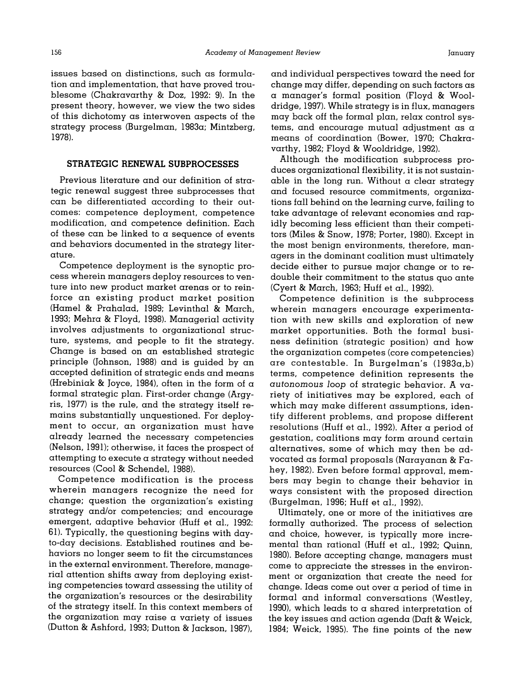**issues based on distinctions, such as formulation and implementation, that have proved troublesome (Chakravarthy & Doz, 1992: 9). In the present theory, however, we view the two sides of this dichotomy as interwoven aspects of the strategy process (Burgelman, 1983a; Mintzberg, 1978).** 

# **STRATEGIC RENEWAL SUBPROCESSES**

**Previous literature and our definition of strategic renewal suggest three subprocesses that can be differentiated according to their outcomes: competence deployment, competence modification, and competence definition. Each of these can be linked to a sequence of events and behaviors documented in the strategy literature.** 

**Competence deployment is the synoptic process wherein managers deploy resources to venture into new product market arenas or to reinforce an existing product market position (Hamel & Prahalad, 1989; Levinthal & March, 1993; Mehra & Floyd, 1998). Managerial activity involves adjustments to organizational structure, systems, and people to fit the strategy. Change is based on an established strategic principle (Johnson, 1988) and is guided by an accepted definition of strategic ends and means (Hrebiniak & Joyce, 1984), often in the form of a formal strategic plan. First-order change (Argyris, 1977) is the rule, and the strategy itself remains substantially unquestioned. For deployment to occur, an organization must have already learned the necessary competencies (Nelson, 1991); otherwise, it faces the prospect of attempting to execute a strategy without needed resources (Cool & Schendel, 1988).** 

**Competence modification is the process wherein managers recognize the need for change; question the organization's existing strategy and/or competencies; and encourage emergent, adaptive behavior (Huff et al., 1992: 61). Typically, the questioning begins with dayto-day decisions. Established routines and behaviors no longer seem to fit the circumstances in the external environment. Therefore, managerial attention shifts away from deploying existing competencies toward assessing the utility of the organization's resources or the desirability of the strategy itself. In this context members of the organization may raise a variety of issues (Dutton & Ashford, 1993; Dutton & Jackson, 1987),** 

**and individual perspectives toward the need for change may differ, depending on such factors as a manager's formal position (Floyd & Wooldridge, 1997). While strategy is in flux, managers may back off the formal plan, relax control systems, and encourage mutual adjustment as a means of coordination (Bower, 1970; Chakravarthy, 1982; Floyd & Wooldridge, 1992).** 

**Although the modification subprocess produces organizational flexibility, it is not sustainable in the long run. Without a clear strategy and focused resource commitments, organizations fall behind on the learning curve, failing to take advantage of relevant economies and rapidly becoming less efficient than their competitors (Miles & Snow, 1978; Porter, 1980). Except in the most benign environments, therefore, managers in the dominant coalition must ultimately decide either to pursue major change or to redouble their commitment to the status quo ante (Cyert & March, 1963; Huff et al., 1992).** 

**Competence definition is the subprocess wherein managers encourage experimentation with new skills and exploration of new market opportunities. Both the formal business definition (strategic position) and how the organization competes (core competencies) are contestable. In Burgelman's (1983a,b) terms, competence definition represents the autonomous loop of strategic behavior. A variety of initiatives may be explored, each of which may make different assumptions, identify different problems, and propose different resolutions (Huff et al., 1992). After a period of gestation, coalitions may form around certain alternatives, some of which may then be advocated as formal proposals (Narayanan & Fahey, 1982). Even before formal approval, members may begin to change their behavior in ways consistent with the proposed direction (Burgelman, 1996; Huff et al., 1992).** 

**Ultimately, one or more of the initiatives are formally authorized. The process of selection and choice, however, is typically more incremental than rational (Huff et al., 1992; Quinn, 1980). Before accepting change, managers must come to appreciate the stresses in the environment or organization that create the need for change. Ideas come out over a period of time in formal and informal conversations (Westley, 1990), which leads to a shared interpretation of the key issues and action agenda (Daft & Weick, 1984; Weick, 1995). The fine points of the new**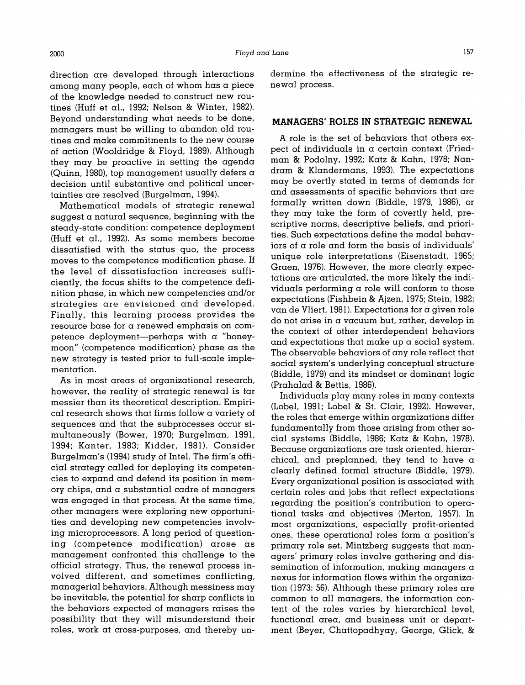**direction are developed through interactions among many people, each of whom has a piece of the knowledge needed to construct new routines (Huff et al., 1992; Nelson & Winter, 1982). Beyond understanding what needs to be done, managers must be willing to abandon old routines and make commitments to the new course of action (Wooldridge & Floyd, 1989). Although they may be proactive in setting the agenda (Quinn, 1980), top management usually defers a decision until substantive and political uncertainties are resolved (Burgelman, 1994).** 

**Mathematical models of strategic renewal suggest a natural sequence, beginning with the steady-state condition: competence deployment (Huff et al., 1992). As some members become dissatisfied with the status quo, the process moves to the competence modification phase. If the level of dissatisfaction increases sufficiently, the focus shifts to the competence definition phase, in which new competencies and/or strategies are envisioned and developed. Finally, this learning process provides the resource base for a renewed emphasis on competence deployment-perhaps with a "honeymoon" (competence modification) phase as the new strategy is tested prior to full-scale implementation.** 

**As in most areas of organizational research, however, the reality of strategic renewal is far messier than its theoretical description. Empirical research shows that firms follow a variety of sequences and that the subprocesses occur simultaneously (Bower, 1970; Burgelman, 1991, 1994; Kanter, 1983; Kidder, 1981). Consider Burgelman's (1994) study of Intel. The firm's official strategy called for deploying its competencies to expand and defend its position in memory chips, and a substantial cadre of managers was engaged in that process. At the same time, other managers were exploring new opportunities and developing new competencies involving microprocessors. A long period of questioning (competence modification) arose as management confronted this challenge to the official strategy. Thus, the renewal process involved different, and sometimes conflicting, managerial behaviors. Although messiness may be inevitable, the potential for sharp conflicts in the behaviors expected of managers raises the possibility that they will misunderstand their roles, work at cross-purposes, and thereby un-** **dermine the effectiveness of the strategic renewal process.** 

## **MANAGERS' ROLES IN STRATEGIC RENEWAL**

**A role is the set of behaviors that others expect of individuals in a certain context (Friedman & Podolny, 1992; Katz & Kahn, 1978; Nandram & Klandermans, 1993). The expectations may be overtly stated in terms of demands for and assessments of specific behaviors that are formally written down (Biddle, 1979, 1986), or they may take the form of covertly held, prescriptive norms, descriptive beliefs, and priorities. Such expectations define the modal behaviors of a role and form the basis of individuals' unique role interpretations (Eisenstadt, 1965; Graen, 1976). However, the more clearly expectations are articulated, the more likely the individuals performing a role will conform to those expectations (Fishbein & Ajzen, 1975; Stein, 1982; van de Vliert, 1981). Expectations for a given role do not arise in a vacuum but, rather, develop in the context of other interdependent behaviors and expectations that make up a social system. The observable behaviors of any role reflect that social system's underlying conceptual structure (Biddle, 1979) and its mindset or dominant logic (Prahalad & Bettis, 1986).** 

**Individuals play many roles in many contexts (Lobel, 1991; Lobel & St. Clair, 1992). However, the roles that emerge within organizations differ fundamentally from those arising from other social systems (Biddle, 1986; Katz & Kahn, 1978). Because organizations are task oriented, hierarchical, and preplanned, they tend to have a clearly defined formal structure (Biddle, 1979). Every organizational position is associated with certain roles and jobs that reflect expectations regarding the position's contribution to operational tasks and objectives (Merton, 1957). In most organizations, especially profit-oriented ones, these operational roles form a position's primary role set. Mintzberg suggests that managers' primary roles involve gathering and dissemination of information, making managers a nexus for information flows within the organization (1973: 56). Although these primary roles are common to all managers, the information content of the roles varies by hierarchical level, functional area, and business unit or department (Beyer, Chattopadhyay, George, Glick, &**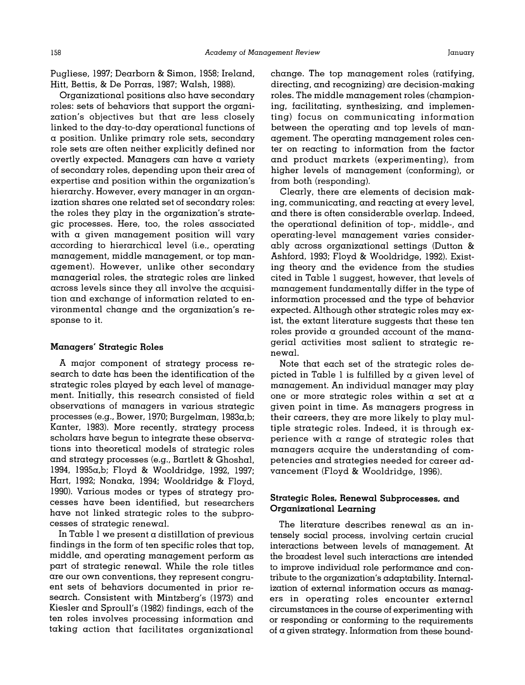**Pugliese, 1997; Dearborn & Simon, 1958; Ireland, Hitt, Bettis, & De Porras, 1987; Walsh, 1988).** 

**Organizational positions also have secondary roles: sets of behaviors that support the organization's objectives but that are less closely linked to the day-to-day operational functions of a position. Unlike primary role sets, secondary role sets are often neither explicitly defined nor overtly expected. Managers can have a variety of secondary roles, depending upon their area of expertise and position within the organization's hierarchy. However, every manager in an organization shares one related set of secondary roles: the roles they play in the organization's strategic processes. Here, too, the roles associated with a given management position will vary according to hierarchical level (i.e., operating management, middle management, or top management). However, unlike other secondary managerial roles, the strategic roles are linked across levels since they all involve the acquisition and exchange of information related to environmental change and the organization's response to it.** 

#### **Managers' Strategic Roles**

**A major component of strategy process research to date has been the identification of the strategic roles played by each level of management. Initially, this research consisted of field observations of managers in various strategic processes (e.g., Bower, 1970; Burgelman, 1983a,b; Kanter, 1983). More recently, strategy process scholars have begun to integrate these observations into theoretical models of strategic roles and strategy processes (e.g., Bartlett & Ghoshal, 1994, 1995a,b; Floyd & Wooldridge, 1992, 1997; Hart, 1992; Nonaka, 1994; Wooldridge & Floyd, 1990). Various modes or types of strategy processes have been identified, but researchers have not linked strategic roles to the subprocesses of strategic renewal.** 

**In Table 1 we present a distillation of previous findings in the form of ten specific roles that top, middle, and operating management perform as part of strategic renewal. While the role titles are our own conventions, they represent congruent sets of behaviors documented in prior research. Consistent with Mintzberg's (1973) and Kiesler and Sproull's (1982) findings, each of the ten roles involves processing information and taking action that facilitates organizational** 

**change. The top management roles (ratifying, directing, and recognizing) are decision-making roles. The middle management roles (championing, facilitating, synthesizing, and implementing) focus on communicating information between the operating and top levels of management. The operating management roles center on reacting to information from the factor and product markets (experimenting), from higher levels of management (conforming), or from both (responding).** 

**Clearly, there are elements of decision making, communicating, and reacting at every level, and there is often considerable overlap. Indeed, the operational definition of top-, middle-, and operating-level management varies considerably across organizational settings (Dutton & Ashford, 1993; Floyd & Wooldridge, 1992). Existing theory and the evidence from the studies cited in Table 1 suggest, however, that levels of management fundamentally differ in the type of information processed and the type of behavior expected. Although other strategic roles may exist, the extant literature suggests that these ten roles provide a grounded account of the managerial activities most salient to strategic renewal.** 

**Note that each set of the strategic roles depicted in Table 1 is fulfilled by a given level of management. An individual manager may play one or more strategic roles within a set at a given point in time. As managers progress in their careers, they are more likely to play multiple strategic roles. Indeed, it is through experience with a range of strategic roles that managers acquire the understanding of competencies and strategies needed for career advancement (Floyd & Wooldridge, 1996).** 

# **Strategic Roles, Renewal Subprocesses, and Organizational Learning**

**The literature describes renewal as an intensely social process, involving certain crucial interactions between levels of management. At the broadest level such interactions are intended to improve individual role performance and contribute to the organization's adaptability. Internalization of external information occurs as managers in operating roles encounter external circumstances in the course of experimenting with or responding or conforming to the requirements of a given strategy. Information from these bound-**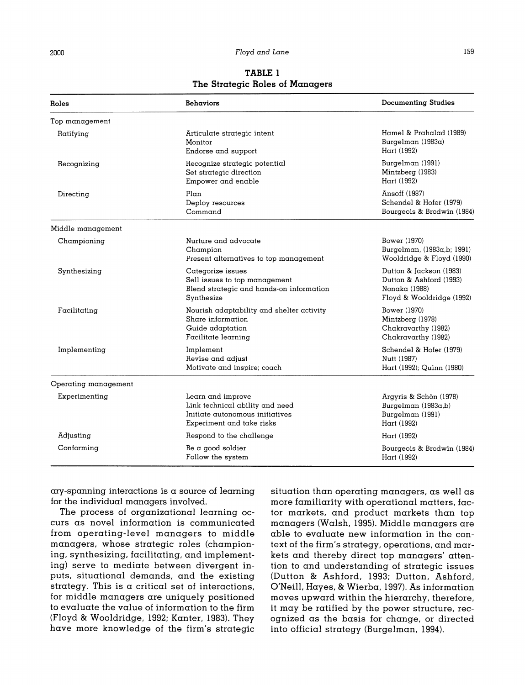**2000 Floyd and Lane 159** 

**TABLE 1 The Strategic Roles of Managers** 

| Roles                | Behaviors                                                                                                            | <b>Documenting Studies</b>                                                                       |  |
|----------------------|----------------------------------------------------------------------------------------------------------------------|--------------------------------------------------------------------------------------------------|--|
| Top management       |                                                                                                                      |                                                                                                  |  |
| Ratifying            | Articulate strategic intent<br>Monitor<br>Endorse and support                                                        | Hamel & Prahalad (1989)<br>Burgelman (1983a)<br>Hart (1992)                                      |  |
| Recognizing          | Recognize strategic potential<br>Set strategic direction<br>Empower and enable                                       | Burgelman (1991)<br>Mintzberg (1983)<br>Hart (1992)                                              |  |
| Directing            | Plan<br>Deploy resources<br>Command                                                                                  | Ansoff (1987)<br>Schendel & Hofer (1979)<br>Bourgeois & Brodwin (1984)                           |  |
| Middle management    |                                                                                                                      |                                                                                                  |  |
| Championing          | Nurture and advocate<br>Champion<br>Present alternatives to top management                                           | Bower (1970)<br>Burgelman, $(1983a,b; 1991)$<br>Wooldridge & Floyd (1990)                        |  |
| Synthesizing         | Categorize issues<br>Sell issues to top management<br>Blend strategic and hands-on information<br>Synthesize         | Dutton & Jackson (1983)<br>Dutton & Ashford (1993)<br>Nonαkα (1988)<br>Floyd & Wooldridge (1992) |  |
| Facilitating         | Nourish adaptability and shelter activity<br>Share information<br>Guide adaptation<br>Facilitate learning            | Bower (1970)<br>Mintzberg (1978)<br>Chakravarthy (1982)<br>Chakravarthy (1982)                   |  |
| Implementing         | Implement<br>Revise and adjust<br>Motivate and inspire; coach                                                        | Schendel & Hofer (1979)<br>Nutt (1987)<br>Hart (1992); Quinn (1980)                              |  |
| Operating management |                                                                                                                      |                                                                                                  |  |
| Experimenting        | Learn and improve<br>Link technical ability and need<br>Initiate autonomous initiatives<br>Experiment and take risks | Argyris & Schön (1978)<br>Burgelman $(1983a,b)$<br>Burgelman (1991)<br>Hart (1992)               |  |
| Adjusting            | Respond to the challenge                                                                                             | Hart (1992)                                                                                      |  |
| Conforming           | Be $\alpha$ good soldier<br>Bourgeois & Brodwin (1984)<br>Follow the system<br>Hart (1992)                           |                                                                                                  |  |

**ary-spanning interactions is a source of learning for the individual managers involved.** 

**The process of organizational learning occurs as novel information is communicated from operating-level managers to middle managers, whose strategic roles (championing, synthesizing, facilitating, and implementing) serve to mediate between divergent inputs, situational demands, and the existing strategy. This is a critical set of interactions, for middle managers are uniquely positioned to evaluate the value of information to the firm (Floyd & Wooldridge, 1992; Kanter, 1983). They have more knowledge of the firm's strategic** 

**situation than operating managers, as well as more familiarity with operational matters, factor markets, and product markets than top managers (Walsh, 1995). Middle managers are able to evaluate new information in the context of the firm's strategy, operations, and markets and thereby direct top managers' attention to and understanding of strategic issues (Dutton & Ashford, 1993; Dutton, Ashford, O'Neill, Hayes, & Wierba, 1997). As information moves upward within the hierarchy, therefore, it may be ratified by the power structure, recognized as the basis for change, or directed into official strategy (Burgelman, 1994).**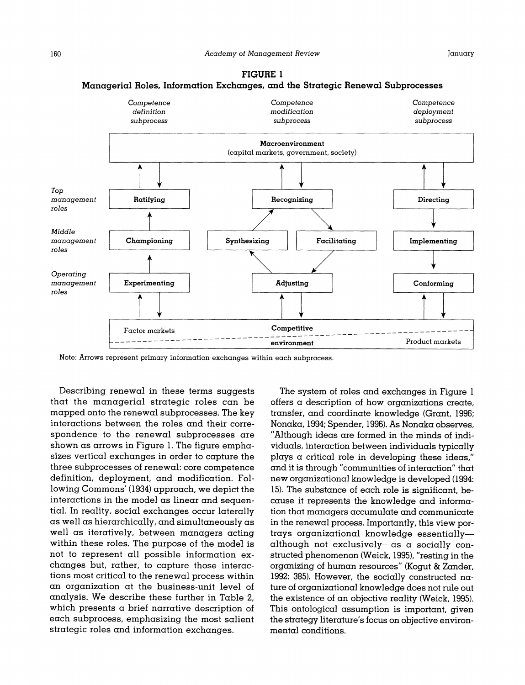

**FIGURE 1 Managerial Roles, Information Exchanges, and the Strategic Renewal Subprocesses** 

**Note: Arrows represent primary information exchanges within each subprocess.** 

**Describing renewal in these terms suggests that the managerial strategic roles can be mapped onto the renewal subprocesses. The key interactions between the roles and their correspondence to the renewal subprocesses are shown as arrows in Figure 1. The figure emphasizes vertical exchanges in order to capture the three subprocesses of renewal: core competence definition, deployment, and modification. Following Commons' (1934) approach, we depict the interactions in the model as linear and sequential. In reality, social exchanges occur laterally as well as hierarchically, and simultaneously as well as iteratively, between managers acting within these roles. The purpose of the model is not to represent all possible information exchanges but, rather, to capture those interactions most critical to the renewal process within an organization at the business-unit level of analysis. We describe these further in Table 2, which presents a brief narrative description of each subprocess, emphasizing the most salient strategic roles and information exchanges.** 

**The system of roles and exchanges in Figure 1 offers a description of how organizations create, transfer, and coordinate knowledge (Grant, 1996; Nonaka, 1994; Spender, 1996). As Nonaka observes, "Although ideas are formed in the minds of individuals, interaction between individuals typically plays a critical role in developing these ideas," and it is through "communities of interaction" that new organizational knowledge is developed (1994: 15). The substance of each role is significant, because it represents the knowledge and information that managers accumulate and communicate in the renewal process. Importantly, this view portrays organizational knowledge essentially**although not exclusively-as a socially con**structed phenomenon (Weick, 1995), "resting in the organizing of human resources" (Kogut & Zander, 1992: 385). However, the socially constructed nature of organizational knowledge does not rule out the existence of an objective reality (Weick, 1995). This ontological assumption is important, given the strategy literature's focus on objective environmental conditions.**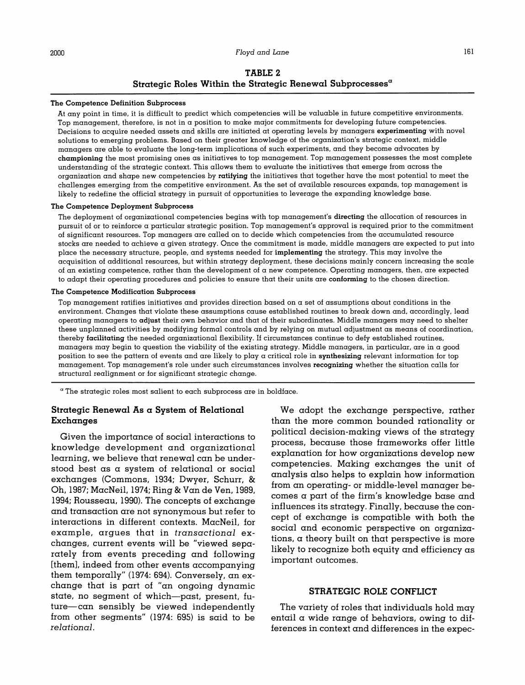## **TABLE 2**  Strategic Roles Within the Strategic Renewal Subprocesses<sup>a</sup>

#### **The Competence Definition Subprocess**

**At any point in time, it is difficult to predict which competencies will be valuable in future competitive environments. Top management, therefore, is not in a position to make major commitments for developing future competencies. Decisions to acquire needed assets and skills are initiated at operating levels by managers experimenting with novel solutions to emerging problems. Based on their greater knowledge of the organization's strategic context, middle managers are able to evaluate the long-term implications of such experiments, and they become advocates by championing the most promising ones as initiatives to top management. Top management possesses the most complete understanding of the strategic context. This allows them to evaluate the initiatives that emerge from across the organization and shape new competencies by ratifying the initiatives that together have the most potential to meet the challenges emerging from the competitive environment. As the set of available resources expands, top management is likely to redefine the official strategy in pursuit of opportunities to leverage the expanding knowledge base.** 

#### **The Competence Deployment Subprocess**

**The deployment of organizational competencies begins with top management's directing the allocation of resources in pursuit of or to reinforce a particular strategic position. Top management's approval is required prior to the commitment of significant resources. Top managers are called on to decide which competencies from the accumulated resource stocks are needed to achieve a given strategy. Once the commitment is made, middle managers are expected to put into place the necessary structure, people, and systems needed for implementing the strategy. This may involve the acquisition of additional resources, but within strategy deployment, these decisions mainly concern increasing the scale of an existing competence, rather than the development of a new competence. Operating managers, then, are expected to adapt their operating procedures and policies to ensure that their units are conforming to the chosen direction.** 

#### **The Competence Modification Subprocess**

**Top management ratifies initiatives and provides direction based on a set of assumptions about conditions in the environment. Changes that violate these assumptions cause established routines to break down and, accordingly, lead operating managers to adjust their own behavior and that of their subordinates. Middle managers may need to shelter these unplanned activities by modifying formal controls and by relying on mutual adjustment as means of coordination, thereby facilitating the needed organizational flexibility. If circumstances continue to defy established routines, managers may begin to question the viability of the existing strategy. Middle managers, in particular, are in a good position to see the pattern of events and are likely to play a critical role in synthesizing relevant information for top management. Top management's role under such circumstances involves recognizing whether the situation calls for structural realignment or for significant strategic change.** 

**<sup>a</sup>The strategic roles most salient to each subprocess are in boldface.** 

## **Strategic Renewal As a System of Relational Exchanges**

**Given the importance of social interactions to knowledge development and organizational learning, we believe that renewal can be understood best as a system of relational or social exchanges (Commons, 1934; Dwyer, Schurr, & Oh, 1987; MacNeil, 1974; Ring & Van de Ven, 1989, 1994; Rousseau, 1990). The concepts of exchange and transaction are not synonymous but refer to interactions in different contexts. MacNeil, for example, argues that in transactional exchanges, current events will be "viewed separately from events preceding and following [them], indeed from other events accompanying them temporally" (1974: 694). Conversely, an exchange that is part of "an ongoing dynamic state, no segment of which-past, present, future-can sensibly be viewed independently from other segments" (1974: 695) is said to be relational.** 

**We adopt the exchange perspective, rather than the more common bounded rationality or political decision-making views of the strategy process, because those frameworks offer little explanation for how organizations develop new competencies. Making exchanges the unit of analysis also helps to explain how information from an operating- or middle-level manager becomes a part of the firm's knowledge base and influences its strategy. Finally, because the concept of exchange is compatible with both the social and economic perspective on organizations, a theory built on that perspective is more likely to recognize both equity and efficiency as important outcomes.** 

#### **STRATEGIC ROLE CONFLICT**

**The variety of roles that individuals hold may entail a wide range of behaviors, owing to differences in context and differences in the expec-**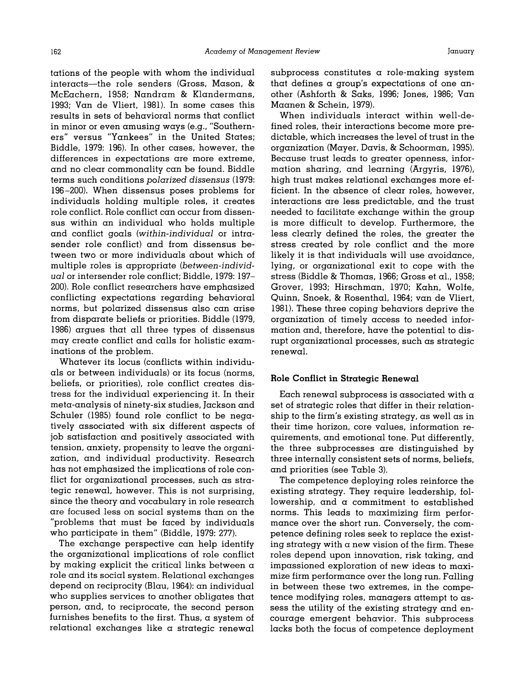**tations of the people with whom the individual interacts-the role senders (Gross, Mason, & McEachern, 1958; Nandram & Klandermans, 1993; Van de Vliert, 1981). In some cases this results in sets of behavioral norms that conflict in minor or even amusing ways (e.g., "Southerners" versus "Yankees" in the United States; Biddle, 1979: 196). In other cases, however, the differences in expectations are more extreme, and no clear commonality can be found. Biddle terms such conditions polarized dissensus (1979: 196-200). When dissensus poses problems for individuals holding multiple roles, it creates role conflict. Role conflict can occur from dissensus within an individual who holds multiple and conflict goals (within-individual or intrasender role conflict) and from dissensus between two or more individuals about which of multiple roles is appropriate (between-individual or intersender role conflict; Biddle, 1979: 197- 200). Role conflict researchers have emphasized conflicting expectations regarding behavioral norms, but polarized dissensus also can arise from disparate beliefs or priorities. Biddle (1979, 1986) argues that all three types of dissensus may create conflict and calls for holistic examinations of the problem.** 

**Whatever its locus (conflicts within individuals or between individuals) or its focus (norms, beliefs, or priorities), role conflict creates distress for the individual experiencing it. In their meta-analysis of ninety-six studies, Jackson and Schuler (1985) found role conflict to be negatively associated with six different aspects of job satisfaction and positively associated with tension, anxiety, propensity to leave the organization, and individual productivity. Research has not emphasized the implications of role conflict for organizational processes, such as strategic renewal, however. This is not surprising, since the theory and vocabulary in role research are focused less on social systems than on the "problems that must be faced by individuals who participate in them" (Biddle, 1979: 277).** 

**The exchange perspective can help identify the organizational implications of role conflict by making explicit the critical links between a role and its social system. Relational exchanges depend on reciprocity (Blau, 1964): an individual who supplies services to another obligates that person, and, to reciprocate, the second person furnishes benefits to the first. Thus, a system of relational exchanges like a strategic renewal** 

**subprocess constitutes a role-making system that defines a group's expectations of one another (Ashforth & Saks, 1996; Jones, 1986; Van Maanen & Schein, 1979).** 

**When individuals interact within well-defined roles, their interactions become more predictable, which increases the level of trust in the organization (Mayer, Davis, & Schoorman, 1995). Because trust leads to greater openness, information sharing, and learning (Argyris, 1976), high trust makes relational exchanges more efficient. In the absence of clear roles, however, interactions are less predictable, and the trust needed to facilitate exchange within the group is more difficult to develop. Furthermore, the less clearly defined the roles, the greater the stress created by role conflict and the more likely it is that individuals will use avoidance, lying, or organizational exit to cope with the stress (Biddle & Thomas, 1966; Gross et al., 1958; Grover, 1993; Hirschman, 1970; Kahn, Wolfe, Quinn, Snoek, & Rosenthal, 1964; van de Vliert, 1981). These three coping behaviors deprive the organization of timely access to needed information and, therefore, have the potential to disrupt organizational processes, such as strategic renewal.** 

## **Role Conflict in Strategic Renewal**

**Each renewal subprocess is associated with a set of strategic roles that differ in their relationship to the firm's existing strategy, as well as in their time horizon, core values, information requirements, and emotional tone. Put differently, the three subprocesses are distinguished by three internally consistent sets of norms, beliefs, and priorities (see Table 3).** 

**The competence deploying roles reinforce the existing strategy. They require leadership, followership, and a commitment to established norms. This leads to maximizing firm performance over the short run. Conversely, the competence defining roles seek to replace the existing strategy with a new vision of the firm. These roles depend upon innovation, risk taking, and impassioned exploration of new ideas to maximize firm performance over the long run. Falling in between these two extremes, in the competence modifying roles, managers attempt to assess the utility of the existing strategy and encourage emergent behavior. This subprocess lacks both the focus of competence deployment**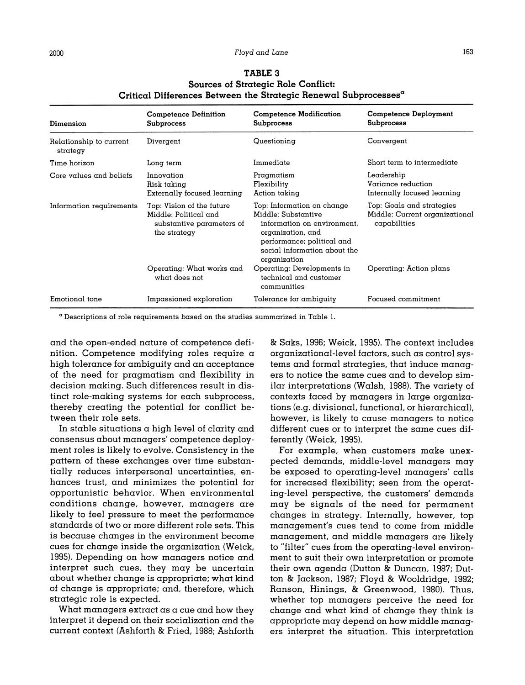| Dimension                           | <b>Competence Definition</b><br><b>Subprocess</b>                                               | <b>Competence Modification</b><br>Subprocess                                                                                                                                        | <b>Competence Deployment</b><br>Subprocess                                  |
|-------------------------------------|-------------------------------------------------------------------------------------------------|-------------------------------------------------------------------------------------------------------------------------------------------------------------------------------------|-----------------------------------------------------------------------------|
| Relationship to current<br>strategy | Divergent                                                                                       | Questioning                                                                                                                                                                         | Convergent                                                                  |
| Time horizon                        | Long term                                                                                       | Immediate                                                                                                                                                                           | Short term to intermediate                                                  |
| Core values and beliefs             | Innovation<br>Risk taking<br>Externally focused learning                                        | Pragmatism<br>Flexibility<br>Action taking                                                                                                                                          | Leadership<br>Variance reduction<br>Internally focused learning             |
| Information requirements            | Top: Vision of the future<br>Middle: Political and<br>substantive parameters of<br>the strategy | Top: Information on change<br>Middle: Substantive<br>information on environment,<br>organization, and<br>performance; political and<br>social information about the<br>organization | Top: Goals and strategies<br>Middle: Current organizational<br>capabilities |
|                                     | Operating: What works and<br>what does not                                                      | Operating: Developments in<br>technical and customer<br>communities                                                                                                                 | Operating: Action plans                                                     |
| Emotional tone                      | Impassioned exploration                                                                         | Tolerance for ambiguity                                                                                                                                                             | Focused commitment                                                          |

**TABLE 3 Sources of Strategic Role Conflict:**  Critical Differences Between the Strategic Renewal Subprocesses<sup>a</sup>

**<sup>a</sup>Descriptions of role requirements based on the studies summarized in Table 1.** 

**and the open-ended nature of competence definition. Competence modifying roles require a high tolerance for ambiguity and an acceptance of the need for pragmatism and flexibility in decision making. Such differences result in distinct role-making systems for each subprocess, thereby creating the potential for conflict between their role sets.** 

**In stable situations a high level of clarity and consensus about managers' competence deployment roles is likely to evolve. Consistency in the pattern of these exchanges over time substantially reduces interpersonal uncertainties, enhances trust, and minimizes the potential for opportunistic behavior. When environmental conditions change, however, managers are likely to feel pressure to meet the performance standards of two or more different role sets. This is because changes in the environment become cues for change inside the organization (Weick, 1995). Depending on how managers notice and interpret such cues, they may be uncertain about whether change is appropriate; what kind of change is appropriate; and, therefore, which strategic role is expected.** 

**What managers extract as a cue and how they interpret it depend on their socialization and the current context (Ashforth & Fried, 1988; Ashforth** 

**& Saks, 1996; Weick, 1995). The context includes organizational-level factors, such as control systems and formal strategies, that induce managers to notice the same cues and to develop similar interpretations (Walsh, 1988). The variety of contexts faced by managers in large organizations (e.g. divisional, functional, or hierarchical), however, is likely to cause managers to notice different cues or to interpret the same cues differently (Weick, 1995).** 

**For example, when customers make unexpected demands, middle-level managers may be exposed to operating-level managers' calls for increased flexibility; seen from the operating-level perspective, the customers' demands may be signals of the need for permanent changes in strategy. Internally, however, top management's cues tend to come from middle management, and middle managers are likely to "filter" cues from the operating-level environment to suit their own interpretation or promote their own agenda (Dutton & Duncan, 1987; Dutton & Jackson, 1987; Floyd & Wooldridge, 1992; Ranson, Hinings, & Greenwood, 1980). Thus, whether top managers perceive the need for change and what kind of change they think is appropriate may depend on how middle managers interpret the situation. This interpretation**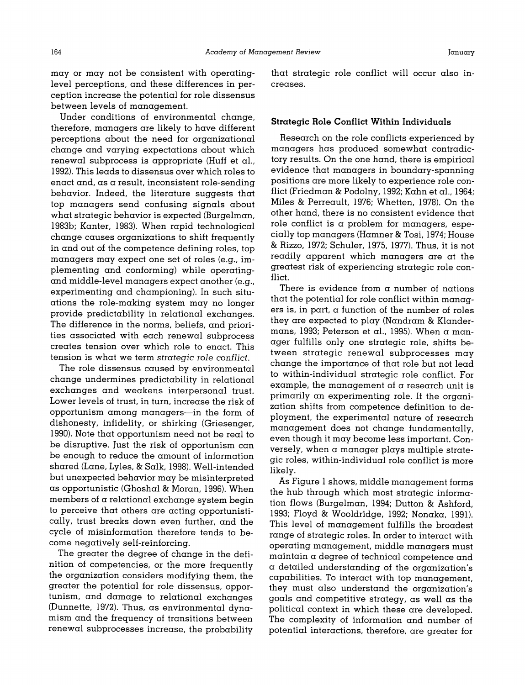**may or may not be consistent with operatinglevel perceptions, and these differences in perception increase the potential for role dissensus between levels of management.** 

**Under conditions of environmental change, therefore, managers are likely to have different perceptions about the need for organizational change and varying expectations about which renewal subprocess is appropriate (Huff et al., 1992). This leads to dissensus over which roles to enact and, as a result, inconsistent role-sending behavior. Indeed, the literature suggests that top managers send confusing signals about what strategic behavior is expected (Burgelman, 1983b; Kanter, 1983). When rapid technological change causes organizations to shift frequently in and out of the competence defining roles, top managers may expect one set of roles (e.g., implementing and conforming) while operatingand middle-level managers expect another (e.g., experimenting and championing). In such situations the role-making system may no longer provide predictability in relational exchanges. The difference in the norms, beliefs, and priorities associated with each renewal subprocess creates tension over which role to enact. This tension is what we term strategic role conflict.** 

**The role dissensus caused by environmental change undermines predictability in relational exchanges and weakens interpersonal trust. Lower levels of trust, in turn, increase the risk of opportunism among managers-in the form of dishonesty, infidelity, or shirking (Griesenger, 1990). Note that opportunism need not be real to be disruptive. Just the risk of opportunism can be enough to reduce the amount of information shared (Lane, Lyles, & Salk, 1998). Well-intended but unexpected behavior may be misinterpreted as opportunistic (Ghoshal & Moran, 1996). When members of a relational exchange system begin to perceive that others are acting opportunistically, trust breaks down even further, and the cycle of misinformation therefore tends to become negatively self-reinforcing.** 

**The greater the degree of change in the definition of competencies, or the more frequently the organization considers modifying them, the greater the potential for role dissensus, opportunism, and damage to relational exchanges (Dunnette, 1972). Thus, as environmental dynamism and the frequency of transitions between renewal subprocesses increase, the probability** 

**that strategic role conflict will occur also increases.** 

### **Strategic Role Conflict Within Individuals**

**Research on the role conflicts experienced by managers has produced somewhat contradictory results. On the one hand, there is empirical evidence that managers in boundary-spanning positions are more likely to experience role conflict (Friedman & Podolny, 1992; Kahn et al., 1964; Miles & Perreault, 1976; Whetten, 1978). On the other hand, there is no consistent evidence that role conflict is a problem for managers, especially top managers (Hamner & Tosi, 1974; House & Rizzo, 1972; Schuler, 1975, 1977). Thus, it is not readily apparent which managers are at the greatest risk of experiencing strategic role conflict.** 

**There is evidence from a number of nations that the potential for role conflict within managers is, in part, a function of the number of roles they are expected to play (Nandram & Klandermans, 1993; Peterson et al., 1995). When a manager fulfills only one strategic role, shifts between strategic renewal subprocesses may change the importance of that role but not lead to within-individual strategic role conflict. For example, the management of a research unit is primarily an experimenting role. If the organization shifts from competence definition to deployment, the experimental nature of research management does not change fundamentally, even though it may become less important. Conversely, when a manager plays multiple strategic roles, within-individual role conflict is more likely.** 

**As Figure 1 shows, middle management forms the hub through which most strategic information flows (Burgelman, 1994; Dutton & Ashford, 1993; Floyd & Wooldridge, 1992; Nonaka, 1991). This level of management fulfills the broadest range of strategic roles. In order to interact with operating management, middle managers must maintain a degree of technical competence and a detailed understanding of the organization's capabilities. To interact with top management, they must also understand the organization's goals and competitive strategy, as well as the political context in which these are developed. The complexity of information and number of potential interactions, therefore, are greater for**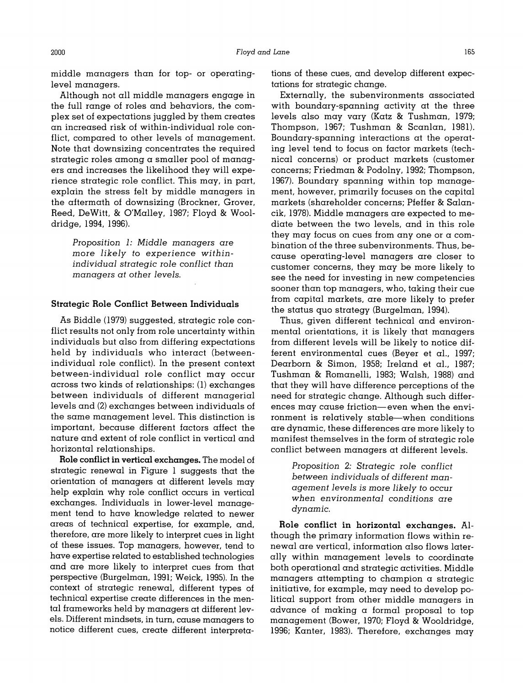**middle managers than for top- or operatinglevel managers.** 

**Although not all middle managers engage in the full range of roles and behaviors, the complex set of expectations juggled by them creates an increased risk of within-individual role conflict, compared to other levels of management. Note that downsizing concentrates the required strategic roles among a smaller pool of managers and increases the likelihood they will experience strategic role conflict. This may, in part, explain the stress felt by middle managers in the aftermath of downsizing (Brockner, Grover, Reed, DeWitt, & O'Malley, 1987; Floyd & Wooldridge, 1994, 1996).** 

> **Proposition 1: Middle managers are more likely to experience withinindividual strategic role conflict than managers at other levels.**

### **Strategic Role Conflict Between Individuals**

**As Biddle (1979) suggested, strategic role conflict results not only from role uncertainty within individuals but also from differing expectations held by individuals who interact (betweenindividual role conflict). In the present context between-individual role conflict may occur across two kinds of relationships: (1) exchanges between individuals of different managerial levels and (2) exchanges between individuals of the same management level. This distinction is important, because different factors affect the nature and extent of role conflict in vertical and horizontal relationships.** 

**Role conflict in vertical exchanges. The model of strategic renewal in Figure 1 suggests that the orientation of managers at different levels may help explain why role conflict occurs in vertical exchanges. Individuals in lower-level management tend to have knowledge related to newer areas of technical expertise, for example, and, therefore, are more likely to interpret cues in light of these issues. Top managers, however, tend to have expertise related to established technologies and are more likely to interpret cues from that perspective (Burgelman, 1991; Weick, 1995). In the context of strategic renewal, different types of technical expertise create differences in the mental frameworks held by managers at different levels. Different mindsets, in turn, cause managers to notice different cues, create different interpreta-** **tions of these cues, and develop different expectations for strategic change.** 

**Externally, the subenvironments associated with boundary-spanning activity at the three levels also may vary (Katz & Tushman, 1979; Thompson, 1967; Tushman & Scanlan, 1981). Boundary-spanning interactions at the operating level tend to focus on factor markets (technical concerns) or product markets (customer concerns; Friedman & Podolny, 1992; Thompson, 1967). Boundary spanning within top management, however, primarily focuses on the capital markets (shareholder concerns; Pfeffer & Salancik, 1978). Middle managers are expected to mediate between the two levels, and in this role they may focus on cues from any one or a combination of the three subenvironments. Thus, because operating-level managers are closer to customer concerns, they may be more likely to see the need for investing in new competencies sooner than top managers, who, taking their cue from capital markets, are more likely to prefer the status quo strategy (Burgelman, 1994).** 

**Thus, given different technical and environmental orientations, it is likely that managers from different levels will be likely to notice different environmental cues (Beyer et al., 1997; Dearborn & Simon, 1958; Ireland et al., 1987; Tushman & Romanelli, 1983; Walsh, 1988) and that they will have difference perceptions of the need for strategic change. Although such differ**ences may cause friction—even when the envi**ronment is relatively stable-when conditions are dynamic, these differences are more likely to manifest themselves in the form of strategic role conflict between managers at different levels.** 

> **Proposition 2: Strategic role conflict between individuals of different management levels is more likely to occur when environmental conditions are dynamic.**

**Role conflict in horizontal exchanges. Although the primary information flows within renewal are vertical, information also flows laterally within management levels to coordinate both operational and strategic activities. Middle managers attempting to champion a strategic initiative, for example, may need to develop political support from other middle managers in advance of making a formal proposal to top management (Bower, 1970; Floyd & Wooldridge, 1996; Kanter, 1983). Therefore, exchanges may**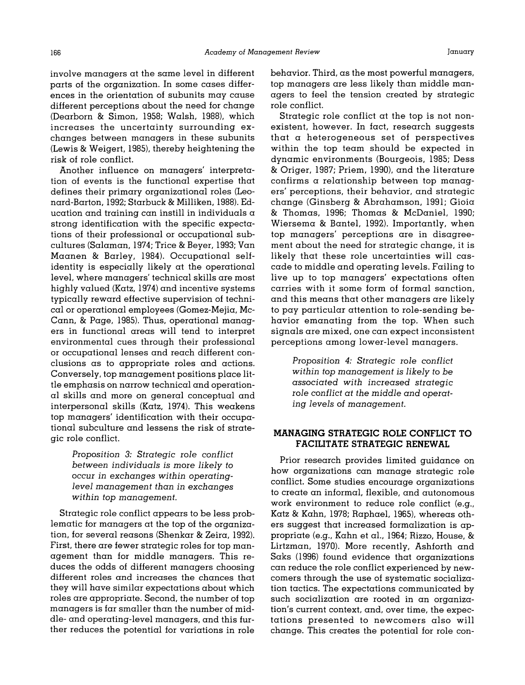**involve managers at the same level in different parts of the organization. In some cases differences in the orientation of subunits may cause different perceptions about the need for change (Dearborn & Simon, 1958; Walsh, 1988), which increases the uncertainty surrounding exchanges between managers in these subunits (Lewis & Weigert, 1985), thereby heightening the risk of role conflict.** 

**Another influence on managers' interpretation of events is the functional expertise that defines their primary organizational roles (Leonard-Barton, 1992; Starbuck & Milliken, 1988). Education and training can instill in individuals a strong identification with the specific expectations of their professional or occupational subcultures (Salaman, 1974; Trice & Beyer, 1993; Van Maanen & Barley, 1984). Occupational selfidentity is especially likely at the operational level, where managers' technical skills are most highly valued (Katz, 1974) and incentive systems typically reward effective supervision of technical or operational employees (Gomez-Mejia, Mc-Cann, & Page, 1985). Thus, operational managers in functional areas will tend to interpret environmental cues through their professional or occupational lenses and reach different conclusions as to appropriate roles and actions. Conversely, top management positions place little emphasis on narrow technical and operational skills and more on general conceptual and interpersonal skills (Katz, 1974). This weakens top managers' identification with their occupational subculture and lessens the risk of strategic role conflict.** 

> **Proposition 3: Strategic role conflict between individuals is more likely to occur in exchanges within operatinglevel management than in exchanges within top management.**

**Strategic role conflict appears to be less problematic for managers at the top of the organization, for several reasons (Shenkar & Zeira, 1992). First, there are fewer strategic roles for top management than for middle managers. This reduces the odds of different managers choosing different roles and increases the chances that they will have similar expectations about which roles are appropriate. Second, the number of top managers is far smaller than the number of middle- and operating-level managers, and this further reduces the potential for variations in role** 

**behavior. Third, as the most powerful managers, top managers are less likely than middle managers to feel the tension created by strategic role conflict.** 

**Strategic role conflict at the top is not nonexistent, however. In fact, research suggests that a heterogeneous set of perspectives within the top team should be expected in dynamic environments (Bourgeois, 1985; Dess & Origer, 1987; Priem, 1990), and the literature confirms a relationship between top managers' perceptions, their behavior, and strategic change (Ginsberg & Abrahamson, 1991; Gioia & Thomas, 1996; Thomas & McDaniel, 1990; Wiersema & Bantel, 1992). Importantly, when top managers' perceptions are in disagreement about the need for strategic change, it is likely that these role uncertainties will cascade to middle and operating levels. Failing to**  live up to top managers' expectations often **carries with it some form of formal sanction, and this means that other managers are likely to pay particular attention to role-sending behavior emanating from the top. When such signals are mixed, one can expect inconsistent perceptions among lower-level managers.** 

> **Proposition 4: Strategic role conflict within top management is likely to be associated with increased strategic role conflict at the middle and operating levels of management.**

# **MANAGING STRATEGIC ROLE CONFLICT TO FACILITATE STRATEGIC RENEWAL**

**Prior research provides limited guidance on how organizations can manage strategic role conflict. Some studies encourage organizations to create an informal, flexible, and autonomous work environment to reduce role conflict (e.g., Katz & Kahn, 1978; Raphael, 1965), whereas others suggest that increased formalization is appropriate (e.g., Kahn et al., 1964; Rizzo, House, & Lirtzman, 1970). More recently, Ashforth and Saks (1996) found evidence that organizations can reduce the role conflict experienced by newcomers through the use of systematic socialization tactics. The expectations communicated by such socialization are rooted in an organization's current context, and, over time, the expectations presented to newcomers also will change. This creates the potential for role con-**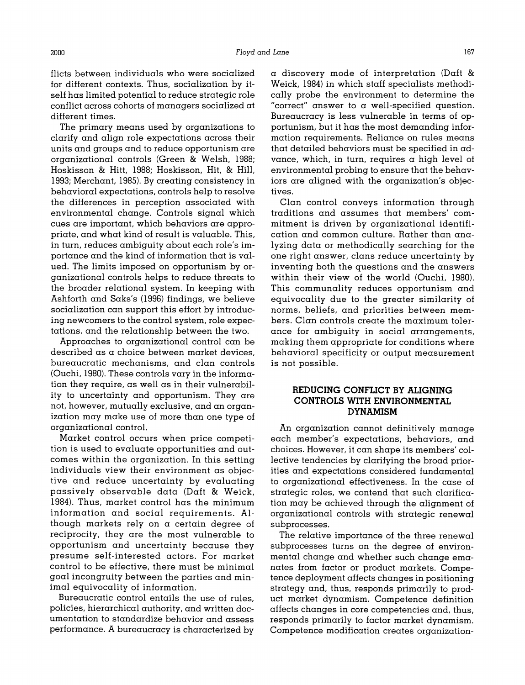**flicts between individuals who were socialized for different contexts. Thus, socialization by itself has limited potential to reduce strategic role conflict across cohorts of managers socialized at different times.** 

**The primary means used by organizations to clarify and align role expectations across their units and groups and to reduce opportunism are organizational controls (Green & Welsh, 1988; Hoskisson & Hitt, 1988; Hoskisson, Hit, & Hill, 1993; Merchant, 1985). By creating consistency in behavioral expectations, controls help to resolve the differences in perception associated with environmental change. Controls signal which cues are important, which behaviors are appropriate, and what kind of result is valuable. This, in turn, reduces ambiguity about each role's importance and the kind of information that is valued. The limits imposed on opportunism by organizational controls helps to reduce threats to the broader relational system. In keeping with Ashforth and Saks's (1996) findings, we believe socialization can support this effort by introducing newcomers to the control system, role expectations, and the relationship between the two.** 

**Approaches to organizational control can be described as a choice between market devices, bureaucratic mechanisms, and clan controls (Ouchi, 1980). These controls vary in the information they require, as well as in their vulnerability to uncertainty and opportunism. They are not, however, mutually exclusive, and an organization may make use of more than one type of organizational control.** 

**Market control occurs when price competition is used to evaluate opportunities and outcomes within the organization. In this setting individuals view their environment as objective and reduce uncertainty by evaluating passively observable data (Daft & Weick, 1984). Thus, market control has the minimum information and social requirements. Although markets rely on a certain degree of reciprocity, they are the most vulnerable to opportunism and uncertainty because they presume self-interested actors. For market control to be effective, there must be minimal goal incongruity between the parties and minimal equivocality of information.** 

**Bureaucratic control entails the use of rules, policies, hierarchical authority, and written documentation to standardize behavior and assess performance. A bureaucracy is characterized by**  **a discovery mode of interpretation (Daft & Weick, 1984) in which staff specialists methodically probe the environment to determine the "correct" answer to a well-specified question. Bureaucracy is less vulnerable in terms of opportunism, but it has the most demanding information requirements. Reliance on rules means that detailed behaviors must be specified in advance, which, in turn, requires a high level of environmental probing to ensure that the behaviors are aligned with the organization's objectives.** 

**Clan control conveys information through traditions and assumes that members' commitment is driven by organizational identification and common culture. Rather than analyzing data or methodically searching for the one right answer, clans reduce uncertainty by inventing both the questions and the answers within their view of the world (Ouchi, 1980). This communality reduces opportunism and equivocality due to the greater similarity of norms, beliefs, and priorities between members. Clan controls create the maximum tolerance for ambiguity in social arrangements, making them appropriate for conditions where behavioral specificity or output measurement is not possible.** 

## **REDUCING CONFLICT BY ALIGNING CONTROLS WITH ENVIRONMENTAL DYNAMISM**

**An organization cannot definitively manage each member's expectations, behaviors, and choices. However, it can shape its members' collective tendencies by clarifying the broad priorities and expectations considered fundamental to organizational effectiveness. In the case of strategic roles, we contend that such clarification may be achieved through the alignment of organizational controls with strategic renewal subprocesses.** 

**The relative importance of the three renewal subprocesses turns on the degree of environmental change and whether such change emanates from factor or product markets. Competence deployment affects changes in positioning strategy and, thus, responds primarily to product market dynamism. Competence definition affects changes in core competencies and, thus, responds primarily to factor market dynamism. Competence modification creates organization-**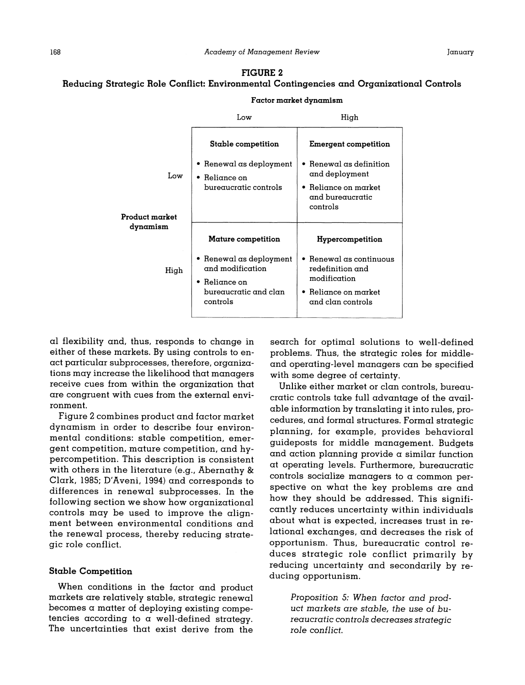# **FIGURE 2 Reducing Strategic Role Conflict: Environmental Contingencies and Organizational Controls**



**Factor market dynamism** 

**al flexibility and, thus, responds to change in either of these markets. By using controls to enact particular subprocesses, therefore, organizations may increase the likelihood that managers receive cues from within the organization that are congruent with cues from the external environment.** 

**Figure 2 combines product and factor market dynamism in order to describe four environmental conditions: stable competition, emergent competition, mature competition, and hypercompetition. This description is consistent with others in the literature (e.g., Abernathy & Clark, 1985; D'Aveni, 1994) and corresponds to differences in renewal subprocesses. In the following section we show how organizational controls may be used to improve the alignment between environmental conditions and the renewal process, thereby reducing strategic role conflict.** 

#### **Stable Competition**

**When conditions in the factor and product markets are relatively stable, strategic renewal becomes a matter of deploying existing competencies according to a well-defined strategy. The uncertainties that exist derive from the**  **search for optimal solutions to well-defined problems. Thus, the strategic roles for middleand operating-level managers can be specified with some degree of certainty.** 

**Unlike either market or clan controls, bureaucratic controls take full advantage of the available information by translating it into rules, procedures, and formal structures. Formal strategic planning, for example, provides behavioral guideposts for middle management. Budgets and action planning provide a similar function at operating levels. Furthermore, bureaucratic controls socialize managers to a common perspective on what the key problems are and how they should be addressed. This significantly reduces uncertainty within individuals about what is expected, increases trust in relational exchanges, and decreases the risk of opportunism. Thus, bureaucratic control reduces strategic role conflict primarily by reducing uncertainty and secondarily by reducing opportunism.** 

> **Proposition 5: When factor and product markets are stable, the use of bureaucratic controls decreases strategic role conflict.**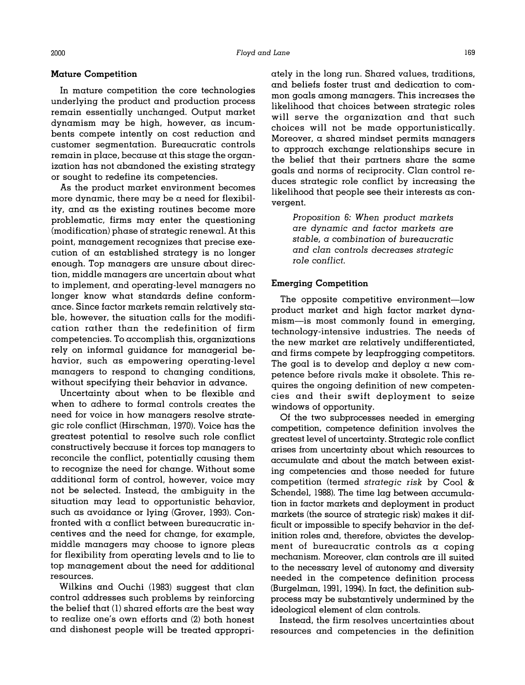### **Mature Competition**

**In mature competition the core technologies underlying the product and production process remain essentially unchanged. Output market dynamism may be high, however, as incumbents compete intently on cost reduction and customer segmentation. Bureaucratic controls remain in place, because at this stage the organization has not abandoned the existing strategy or sought to redefine its competencies.** 

**As the product market environment becomes more dynamic, there may be a need for flexibility, and as the existing routines become more problematic, firms may enter the questioning (modification) phase of strategic renewal. At this point, management recognizes that precise execution of an established strategy is no longer enough. Top managers are unsure about direction, middle managers are uncertain about what to implement, and operating-level managers no longer know what standards define conformance. Since factor markets remain relatively stable, however, the situation calls for the modification rather than the redefinition of firm competencies. To accomplish this, organizations rely on informal guidance for managerial behavior, such as empowering operating-level managers to respond to changing conditions, without specifying their behavior in advance.** 

**Uncertainty about when to be flexible and when to adhere to formal controls creates the need for voice in how managers resolve strategic role conflict (Hirschman, 1970). Voice has the greatest potential to resolve such role conflict constructively because it forces top managers to reconcile the conflict, potentially causing them to recognize the need for change. Without some additional form of control, however, voice may not be selected. Instead, the ambiguity in the situation may lead to opportunistic behavior, such as avoidance or lying (Grover, 1993). Confronted with a conflict between bureaucratic incentives and the need for change, for example, middle managers may choose to ignore pleas for flexibility from operating levels and to lie to top management about the need for additional resources.** 

**Wilkins and Ouchi (1983) suggest that clan control addresses such problems by reinforcing the belief that (1) shared efforts are the best way to realize one's own efforts and (2) both honest and dishonest people will be treated appropri-** **ately in the long run. Shared values, traditions, and beliefs foster trust and dedication to common goals among managers. This increases the likelihood that choices between strategic roles will serve the organization and that such choices will not be made opportunistically. Moreover, a shared mindset permits managers to approach exchange relationships secure in the belief that their partners share the same goals and norms of reciprocity. Clan control reduces strategic role conflict by increasing the likelihood that people see their interests as convergent.** 

> **Proposition 6: When product markets are dynamic and factor markets are stable, a combination of bureaucratic and clan controls decreases strategic role conflict.**

#### **Emerging Competition**

**The opposite competitive environment-low product market and high factor market dynamism-is most commonly found in emerging, technology-intensive industries. The needs of the new market are relatively undifferentiated, and firms compete by leapfrogging competitors. The goal is to develop and deploy a new competence before rivals make it obsolete. This requires the ongoing definition of new competencies and their swift deployment to seize windows of opportunity.** 

**Of the two subprocesses needed in emerging competition, competence definition involves the greatest level of uncertainty. Strategic role conflict arises from uncertainty about which resources to accumulate and about the match between existing competencies and those needed for future competition (termed strategic risk by Cool & Schendel, 1988). The time lag between accumulation in factor markets and deployment in product markets (the source of strategic risk) makes it difficult or impossible to specify behavior in the definition roles and, therefore, obviates the development of bureaucratic controls as a coping mechanism. Moreover, clan controls are ill suited to the necessary level of autonomy and diversity needed in the competence definition process (Burgelman, 1991, 1994). In fact, the definition subprocess may be substantively undermined by the ideological element of clan controls.** 

**Instead, the firm resolves uncertainties about resources and competencies in the definition**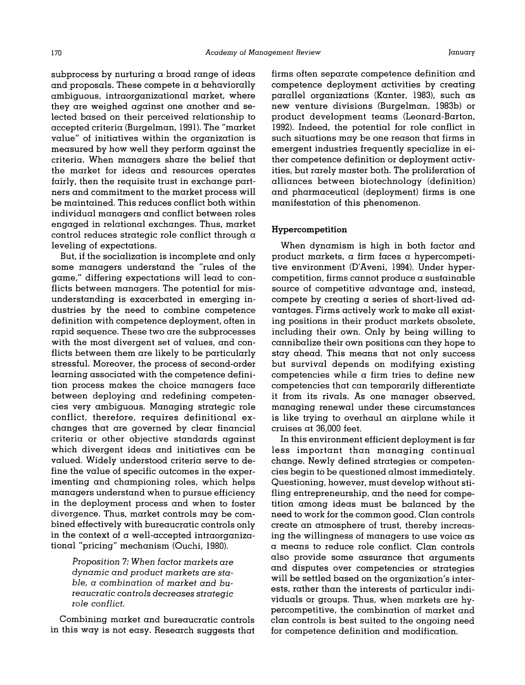**subprocess by nurturing a broad range of ideas and proposals. These compete in a behaviorally ambiguous, intraorganizational market, where they are weighed against one another and selected based on their perceived relationship to accepted criteria (Burgelman, 1991). The "market value" of initiatives within the organization is measured by how well they perform against the criteria. When managers share the belief that the market for ideas and resources operates fairly, then the requisite trust in exchange partners and commitment to the market process will be maintained. This reduces conflict both within individual managers and conflict between roles engaged in relational exchanges. Thus, market control reduces strategic role conflict through a leveling of expectations.** 

**But, if the socialization is incomplete and only some managers understand the "rules of the game," differing expectations will lead to conflicts between managers. The potential for misunderstanding is exacerbated in emerging industries by the need to combine competence definition with competence deployment, often in rapid sequence. These two are the subprocesses with the most divergent set of values, and conflicts between them are likely to be particularly stressful. Moreover, the process of second-order learning associated with the competence definition process makes the choice managers face between deploying and redefining competencies very ambiguous. Managing strategic role conflict, therefore, requires definitional exchanges that are governed by clear financial criteria or other objective standards against which divergent ideas and initiatives can be valued. Widely understood criteria serve to define the value of specific outcomes in the experimenting and championing roles, which helps managers understand when to pursue efficiency in the deployment process and when to foster divergence. Thus, market controls may be combined effectively with bureaucratic controls only in the context of a well-accepted intraorganizational "pricing" mechanism (Ouchi, 1980).** 

**Proposition 7: When factor markets are dynamic and product markets are stable, a combination of market and bureaucratic controls decreases strategic role conflict.** 

**Combining market and bureaucratic controls in this way is not easy. Research suggests that**  **firms often separate competence definition and competence deployment activities by creating parallel organizations (Kanter, 1983), such as new venture divisions (Burgelman, 1983b) or product development teams (Leonard-Barton, 1992). Indeed, the potential for role conflict in such situations may be one reason that firms in emergent industries frequently specialize in either competence definition or deployment activities, but rarely master both. The proliferation of alliances between biotechnology (definition) and pharmaceutical (deployment) firms is one manifestation of this phenomenon.** 

## **Hypercompetition**

**When dynamism is high in both factor and product markets, a firm faces a hypercompetitive environment (D'Aveni, 1994). Under hypercompetition, firms cannot produce a sustainable source of competitive advantage and, instead, compete by creating a series of short-lived advantages. Firms actively work to make all existing positions in their product markets obsolete, including their own. Only by being willing to cannibalize their own positions can they hope to stay ahead. This means that not only success but survival depends on modifying existing competencies while a firm tries to define new competencies that can temporarily differentiate it from its rivals. As one manager observed, managing renewal under these circumstances is like trying to overhaul an airplane while it cruises at 36,000 feet.** 

**In this environment efficient deployment is far less important than managing continual change. Newly defined strategies or competencies begin to be questioned almost immediately. Questioning, however, must develop without stifling entrepreneurship, and the need for competition among ideas must be balanced by the need to work for the common good. Clan controls create an atmosphere of trust, thereby increasing the willingness of managers to use voice as a means to reduce role conflict. Clan controls also provide some assurance that arguments and disputes over competencies or strategies will be settled based on the organization's interests, rather than the interests of particular individuals or groups. Thus, when markets are hypercompetitive, the combination of market and clan controls is best suited to the ongoing need for competence definition and modification.**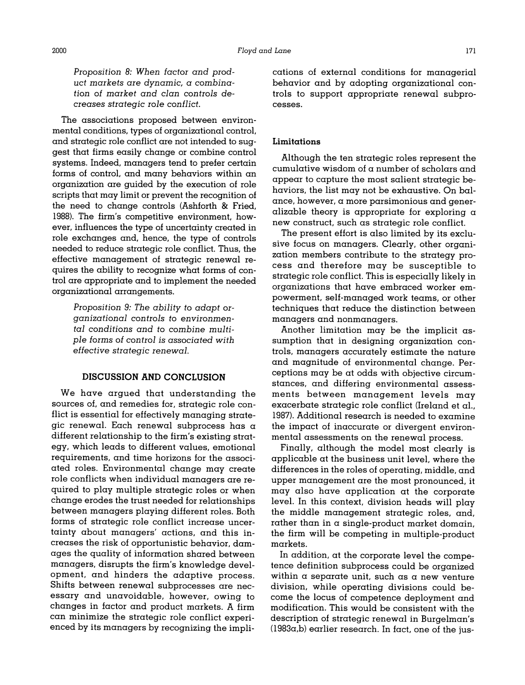**Proposition 8: When factor and product markets are dynamic, a combination of market and clan controls decreases strategic role conflict.** 

**The associations proposed between environmental conditions, types of organizational control, and strategic role conflict are not intended to suggest that firms easily change or combine control systems. Indeed, managers tend to prefer certain forms of control, and many behaviors within an organization are guided by the execution of role scripts that may limit or prevent the recognition of the need to change controls (Ashforth & Fried, 1988). The firm's competitive environment, however, influences the type of uncertainty created in role exchanges and, hence, the type of controls needed to reduce strategic role conflict. Thus, the effective management of strategic renewal requires the ability to recognize what forms of control are appropriate and to implement the needed organizational arrangements.** 

**Proposition 9: The ability to adapt organizational controls to environmental conditions and to combine multiple forms of control is associated with effective strategic renewal.** 

## **DISCUSSION AND CONCLUSION**

**We have argued that understanding the sources of, and remedies for, strategic role conflict is essential for effectively managing strategic renewal. Each renewal subprocess has a different relationship to the firm's existing strategy, which leads to different values, emotional requirements, and time horizons for the associated roles. Environmental change may create role conflicts when individual managers are required to play multiple strategic roles or when change erodes the trust needed for relationships between managers playing different roles. Both forms of strategic role conflict increase uncertainty about managers' actions, and this increases the risk of opportunistic behavior, damages the quality of information shared between managers, disrupts the firm's knowledge development, and hinders the adaptive process. Shifts between renewal subprocesses are necessary and unavoidable, however, owing to changes in factor and product markets. A firm can minimize the strategic role conflict experienced by its managers by recognizing the impli-** **cations of external conditions for managerial behavior and by adopting organizational controls to support appropriate renewal subprocesses.** 

#### **Limitations**

**Although the ten strategic roles represent the cumulative wisdom of a number of scholars and appear to capture the most salient strategic behaviors, the list may not be exhaustive. On balance, however, a more parsimonious and generalizable theory is appropriate for exploring a new construct, such as strategic role conflict.** 

**The present effort is also limited by its exclusive focus on managers. Clearly, other organization members contribute to the strategy process and therefore may be susceptible to strategic role conflict. This is especially likely in organizations that have embraced worker empowerment, self-managed work teams, or other techniques that reduce the distinction between managers and nonmanagers.** 

**Another limitation may be the implicit assumption that in designing organization controls, managers accurately estimate the nature and magnitude of environmental change. Perceptions may be at odds with objective circumstances, and differing environmental assessments between management levels may exacerbate strategic role conflict (Ireland et al., 1987). Additional research is needed to examine the impact of inaccurate or divergent environmental assessments on the renewal process.** 

**Finally, although the model most clearly is applicable at the business unit level, where the differences in the roles of operating, middle, and upper management are the most pronounced, it may also have application at the corporate level. In this context, division heads will play the middle management strategic roles, and, rather than in a single-product market domain, the firm will be competing in multiple-product markets.** 

**In addition, at the corporate level the competence definition subprocess could be organized within a separate unit, such as a new venture division, while operating divisions could become the locus of competence deployment and modification. This would be consistent with the description of strategic renewal in Burgelman's (1983a,b) earlier research. In fact, one of the jus-**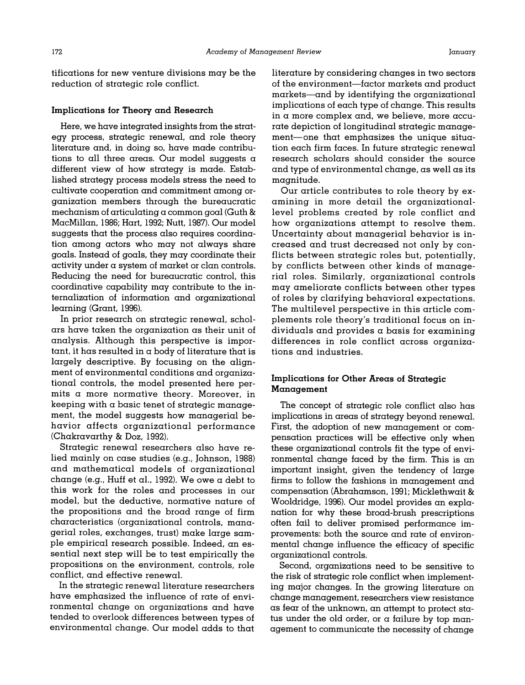**tifications for new venture divisions may be the reduction of strategic role conflict.** 

#### **Implications for Theory and Research**

**Here, we have integrated insights from the strategy process, strategic renewal, and role theory literature and, in doing so, have made contributions to all three areas. Our model suggests a different view of how strategy is made. Established strategy process models stress the need to cultivate cooperation and commitment among organization members through the bureaucratic mechanism of articulating a common goal (Guth & MacMillan, 1986; Hart, 1992; Nutt, 1987). Our model suggests that the process also requires coordination among actors who may not always share goals. Instead of goals, they may coordinate their activity under a system of market or clan controls. Reducing the need for bureaucratic control, this coordinative capability may contribute to the internalization of information and organizational learning (Grant, 1996).** 

**In prior research on strategic renewal, scholars have taken the organization as their unit of analysis. Although this perspective is important, it has resulted in a body of literature that is largely descriptive. By focusing on the alignment of environmental conditions and organizational controls, the model presented here permits a more normative theory. Moreover, in keeping with a basic tenet of strategic management, the model suggests how managerial behavior affects organizational performance (Chakravarthy & Doz, 1992).** 

**Strategic renewal researchers also have relied mainly on case studies (e.g., Johnson, 1988) and mathematical models of organizational change (e.g., Huff et al., 1992). We owe a debt to this work for the roles and processes in our model, but the deductive, normative nature of the propositions and the broad range of firm characteristics (organizational controls, managerial roles, exchanges, trust) make large sample empirical research possible. Indeed, an essential next step will be to test empirically the propositions on the environment, controls, role conflict, and effective renewal.** 

**In the strategic renewal literature researchers have emphasized the influence of rate of environmental change on organizations and have tended to overlook differences between types of environmental change. Our model adds to that** 

**literature by considering changes in two sectors of the environment-factor markets and product markets-and by identifying the organizational implications of each type of change. This results in a more complex and, we believe, more accurate depiction of longitudinal strategic management-one that emphasizes the unique situation each firm faces. In future strategic renewal research scholars should consider the source and type of environmental change, as well as its magnitude.** 

**Our article contributes to role theory by examining in more detail the organizationallevel problems created by role conflict and how organizations attempt to resolve them. Uncertainty about managerial behavior is increased and trust decreased not only by conflicts between strategic roles but, potentially, by conflicts between other kinds of managerial roles. Similarly, organizational controls may ameliorate conflicts between other types of roles by clarifying behavioral expectations. The multilevel perspective in this article complements role theory's traditional focus on individuals and provides a basis for examining differences in role conflict across organizations and industries.** 

# **Implications for Other Areas of Strategic Management**

**The concept of strategic role conflict also has implications in areas of strategy beyond renewal. First, the adoption of new management or compensation practices will be effective only when these organizational controls fit the type of environmental change faced by the firm. This is an important insight, given the tendency of large firms to follow the fashions in management and compensation (Abrahamson, 1991; Micklethwait & Wooldridge, 1996). Our model provides an explanation for why these broad-brush prescriptions often fail to deliver promised performance improvements: both the source and rate of environmental change influence the efficacy of specific organizational controls.** 

**Second, organizations need to be sensitive to the risk of strategic role conflict when implementing major changes. In the growing literature on change management, researchers view resistance as fear of the unknown, an attempt to protect status under the old order, or a failure by top management to communicate the necessity of change**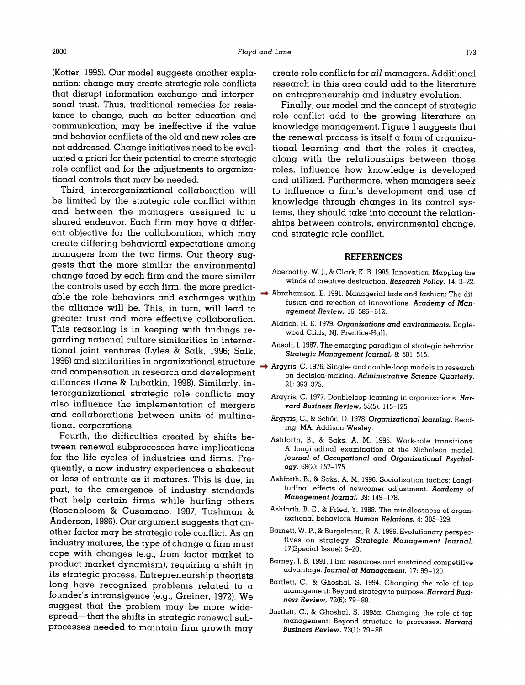**(Kotter, 1995). Our model suggests another explanation: change may create strategic role conflicts that disrupt information exchange and interpersonal trust. Thus, traditional remedies for resistance to change, such as better education and communication, may be ineffective if the value and behavior conflicts of the old and new roles are not addressed. Change initiatives need to be evaluated a priori for their potential to create strategic role conflict and for the adjustments to organizational controls that may be needed.** 

**Third, interorganizational collaboration will be limited by the strategic role conflict within and between the managers assigned to a shared endeavor. Each firm may have a different objective for the collaboration, which may create differing behavioral expectations among managers from the two firms. Our theory suggests that the more similar the environmental change faced by each firm and the more similar the controls used by each firm, the more predictable the role behaviors and exchanges within the alliance will be. This, in turn, will lead to greater trust and more effective collaboration. This reasoning is in keeping with findings regarding national culture similarities in international joint ventures (Lyles & Salk, 1996; Salk, 1996) and similarities in organizational structure and compensation in research and development alliances (Lane & Lubatkin, 1998). Similarly, interorganizational strategic role conflicts may also influence the implementation of mergers and collaborations between units of multinational corporations.** 

**Fourth, the difficulties created by shifts between renewal subprocesses have implications for the life cycles of industries and firms. Frequently, a new industry experiences a shakeout or loss of entrants as it matures. This is due, in part, to the emergence of industry standards that help certain firms while hurting others (Rosenbloom & Cusamano, 1987; Tushman & Anderson, 1986). Our argument suggests that another factor may be strategic role conflict. As an industry matures, the type of change a firm must cope with changes (e.g., from factor market to product market dynamism), requiring a shift in its strategic process. Entrepreneurship theorists long have recognized problems related to a founder's intransigence (e.g., Greiner, 1972). We suggest that the problem may be more widespread-that the shifts in strategic renewal subprocesses needed to maintain firm growth may** 

**create role conflicts for all managers. Additional research in this area could add to the literature on entrepreneurship and industry evolution.** 

**Finally, our model and the concept of strategic role conflict add to the growing literature on knowledge management. Figure 1 suggests that the renewal process is itself a form of organizational learning and that the roles it creates, along with the relationships between those roles, influence how knowledge is developed and utilized. Furthermore, when managers seek to influence a firm's development and use of knowledge through changes in its control systems, they should take into account the relationships between controls, environmental change, and strategic role conflict.** 

#### **REFERENCES**

- **Abernathy, W. J., & Clark, K. B. 1985. Innovation: Mapping the winds of creative destruction. Research Policy, 14: 3-22.**
- **Abrahamson, E. 1991. Managerial fads and fashion: The diffusion and rejection of innovations. Academy of Management Review, 16: 586-612.**
- **Aldrich, H. E. 1979. Organizations and environments. Englewood Cliffs, NJ: Prentice-Hall.**
- **Ansoff, I. 1987. The emerging paradigm of strategic behavior. Strategic Management Journal, 8: 501-515.**
- **Argyris, C. 1976. Single- and double-loop models in research on decision-making. Administrative Science Quarterly, 21: 363-375.** 
	- **Argyris, C. 1977. Doubleloop learning in organizations. Harvard Business Review, 55(5): 115-125.**
	- Argyris, C., & Schön, D. 1978. Organizational learning. Read**ing, MA: Addison-Wesley.**
	- **Ashforth, B., & Saks, A. M. 1995. Work-role transitions: A longitudinal examination of the Nicholson model. Journal of Occupational and Organizational Psychology, 68(2): 157-175.**
	- **Ashforth, B., & Saks, A. M. 1996. Socialization tactics: Longitudinal effects of newcomer adjustment. Academy of Management Journal, 39: 149-178.**
	- **Ashforth, B. E., & Fried, Y. 1988. The mindlessness of organizational behaviors. Human Relations, 4: 305-329.**
	- **Barnett, W. P., & Burgelman, R. A. 1996. Evolutionary perspectives on strategy. Strategic Management Journal, 17(Special Issue): 5-20.**
	- **Barney, J. B. 1991. Firm resources and sustained competitive advantage. Journal of Management, 17: 99-120.**
	- **Bartlett, C., & Ghoshal, S. 1994. Changing the role of top management: Beyond strategy to purpose. Harvard Business Review, 72(6): 79-88.**
	- **Bartlett, C., & Ghoshal, S. 1995a. Changing the role of top management: Beyond structure to processes. Harvard Business Review, 73(1): 79-88.**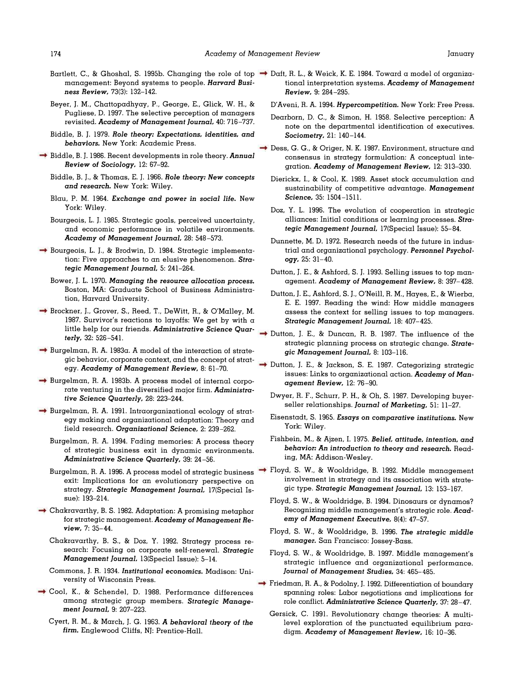- **Bartlett, C., & Ghoshal, S. 1995b. Changing the role of top Daft, R. L., & Weick, K. E. 1984. Toward a model of organizamanagement: Beyond systems to people. Harvard Business Review, 73(3): 132-142.**
- **Beyer, J. M., Chattopadhyay, P., George, E., Glick, W. H., & Pugliese, D. 1997. The selective perception of managers revisited. Academy of Management Journal, 40: 716-737.**
- **Biddle, B. J. 1979. Role theory: Expectations, identities, and behaviors. New York: Academic Press.**
- **Biddle, B. J. 1986. Recent developments in role theory. Annual Review of Sociology, 12: 67-92.** 
	- **Biddle, B. J., & Thomas, E. J. 1966. Role theory: New concepts and research. New York: Wiley.**
	- **Blau, P. M. 1964. Exchange and power in social life. New York: Wiley.**
	- **Bourgeois, L. J. 1985. Strategic goals, perceived uncertainty, and economic performance in volatile environments. Academy of Management Journal, 28: 548-573.**
- → Bourgeois, L. J., & Brodwin, D. 1984. Strategic implementa**tion: Five approaches to an elusive phenomenon. Strategic Management Journal, 5: 241-264.** 
	- **Bower, J. L. 1970. Managing the resource allocation process. Boston, MA: Graduate School of Business Administration, Harvard University.**
- **Brockner, J., Grover, S., Reed, T., DeWitt, R., & O'Malley, M. 1987. Survivor's reactions to layoffs: We get by with a little help for our friends. Administrative Science Quarterly, 32: 526-541.**
- **Burgelman, R. A. 1983a. A model of the interaction of strategic behavior, corporate context, and the concept of strategy. Academy of Management Review, 8: 61-70.**
- → Burgelman, R. A. 1983b. A process model of internal corpo**rate venturing in the diversified major firm. Administrative Science Quarterly, 28: 223-244.**
- → Burgelman, R. A. 1991. Intraorganizational ecology of strat**egy making and organizational adaptation: Theory and field research. Organizational Science, 2: 239-262.** 
	- **Burgelman, R. A. 1994. Fading memories: A process theory of strategic business exit in dynamic environments. Administrative Science Quarterly, 39: 24-56.**
	- **Burgelman, R. A. 1996. A process model of strategic business exit: Implications for an evolutionary perspective on strategy. Strategic Management Journal, 17(Special Issue): 193-214.**
- **Chakravarthy, B. S. 1982. Adaptation: A promising metaphor for strategic management. Academy of Management Review, 7: 35-44.** 
	- **Chakravarthy, B. S., & Doz, Y. 1992. Strategy process research: Focusing on corporate self-renewal. Strategic Management Journal, 13(Special Issue): 5-14.**
	- **Commons, J. R. 1934. Institutional economics. Madison: University of Wisconsin Press.**
- **Cool, K., & Schendel, D. 1988. Performance differences among strategic group members. Strategic Management Journal, 9: 207-223.** 
	- **Cyert, R. M., & March, J. G. 1963. A behavioral theory of the firm. Englewood Cliffs, NJ: Prentice-Hall.**
- **tional interpretation systems. Academy of Management Review, 9: 284-295.**
- **D'Aveni, R. A. 1994. Hypercompetition. New York: Free Press.**
- **Dearborn, D. C., & Simon, H. 1958. Selective perception: A note on the departmental identification of executives. Sociometry, 21: 140-144.**
- **Dess, G. G., & Origer, N. K. 1987. Environment, structure and consensus in strategy formulation: A conceptual integration. Academy of Management Review, 12: 313-330.**
- **Dierickx, I., & Cool, K. 1989. Asset stock accumulation and sustainability of competitive advantage. Management Science, 35: 1504-1511.**
- **Doz, Y. L. 1996. The evolution of cooperation in strategic alliances: Initial conditions or learning processes. Strategic Management Journal, 17(Special Issue): 55-84.**
- **Dunnette, M. D. 1972. Research needs of the future in industrial and organizational psychology. Personnel Psychology, 25: 31-40.**
- **Dutton, J. E., & Ashford, S. J. 1993. Selling issues to top management. Academy of Management Review, 8: 397-428.**
- **Dutton, J. E., Ashford, S. J., O'Neill, R. M., Hayes, E., & Wierba, E. E. 1997. Reading the wind: How middle managers assess the context for selling issues to top managers. Strategic Management Journal, 18: 407-425.**
- → Dutton, J. E., & Duncan, R. B. 1987. The influence of the **strategic planning process on strategic change. Strategic Management Journal, 8: 103-116.**
- **Dutton, J. E., & Jackson, S. E. 1987. Categorizing strategic issues: Links to organizational action. Academy of Management Review, 12: 76-90.** 
	- **Dwyer, R. F., Schurr, P. H., & Oh, S. 1987. Developing buyerseller relationships. Journal of Marketing, 51: 11-27.**
	- **Eisenstadt, S. 1965. Essays on comparative institutions. New York: Wiley.**
	- **Fishbein, M., & Ajzen, I. 1975. Belief, attitude, intention, and behavior: An introduction to theory and research. Reading, MA: Addison-Wesley.**
- **Floyd, S. W., & Wooldridge, B. 1992. Middle management involvement in strategy and its association with strategic type. Strategic Management Journal, 13: 153-167.** 
	- **Floyd, S. W., & Wooldridge, B. 1994. Dinosaurs or dynamos? Recognizing middle management's strategic role. Academy of Management Executive, 8(4): 47-57.**
	- **Floyd, S. W., & Wooldridge, B. 1996. The strategic middle manager. San Francisco: Jossey-Bass.**
	- **Floyd, S. W., & Wooldridge, B. 1997. Middle management's strategic influence and organizational performance. Journal of Management Studies, 34: 465-485.**
- **Friedman, R. A., & Podolny, J. 1992. Differentiation of boundary spanning roles: Labor negotiations and implications for role conflict. Administrative Science Quarterly, 37: 28-47.** 
	- **Gersick, C. 1991. Revolutionary change theories: A multilevel exploration of the punctuated equilibrium paradigm. Academy of Management Review, 16: 10-36.**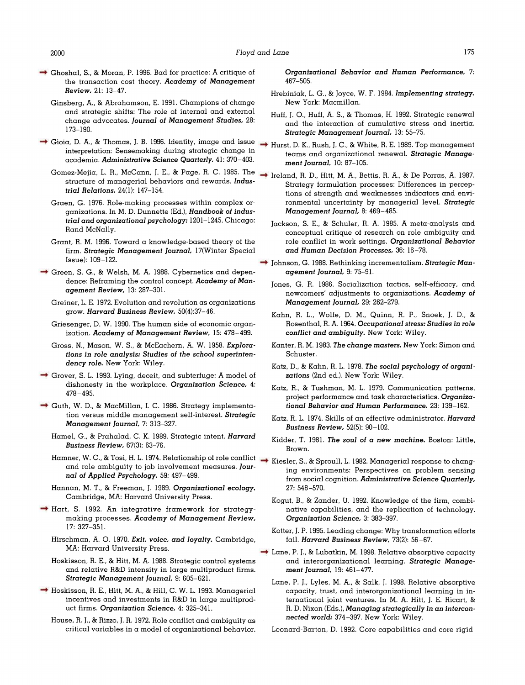- **Ghoshal, S., & Moran, P. 1996. Bad for practice: A critique of the transaction cost theory. Academy of Management Review, 21: 13-47.** 
	- **Ginsberg, A., & Abrahamson, E. 1991. Champions of change and strategic shifts: The role of internal and external change advocates. Journal of Management Studies, 28: 173-190.**
- **Gioia, D. A., & Thomas, J. B. 1996. Identity, image and issue interpretation: Sensemaking during strategic change in academia. Administrative Science Quarterly, 41: 370-403.** 
	- **Gomez-Mejia, L. R., McCann, J. E., & Page, R. C. 1985. The structure of managerial behaviors and rewards. Industrial Relations, 24(1): 147-154.**
	- **Graen, G. 1976. Role-making processes within complex organizations. In M. D. Dunnette (Ed.), Handbook of industrial and organizational psychology: 1201-1245. Chicago: Rand McNally.**
	- **Grant, R. M. 1996. Toward a knowledge-based theory of the firm. Strategic Management Journal, 17(Winter Special Issue): 109-122.**
- **Green, S. G., & Welsh, M. A. 1988. Cybernetics and depen**dence: Reframing the control concept. Academy of Man**agement Review, 13: 287-301.** 
	- **Greiner, L. E. 1972. Evolution and revolution as organizations grow. Harvard Business Review, 50(4):37-46.**
	- **Griesenger, D. W. 1990. The human side of economic organization. Academy of Management Review, 15: 478-499.**
	- **Gross, N., Mason, W. S., & McEachern, A. W. 1958. Explorations in role analysis: Studies of the school superintendency role. New York: Wiley.**
- **Grover, S. L. 1993. Lying, deceit, and subterfuge: A model of dishonesty in the workplace. Organization Science, 4: 478-495.**
- **Guth, W. D., & MacMillan, I. C. 1986. Strategy implementation versus middle management self-interest. Strategic Management Journal, 7: 313-327.** 
	- **Hamel, G., & Prahalad, C. K. 1989. Strategic intent. Harvard Business Review, 67(3): 63-76.**
	- **Hamner, W. C., & Tosi, H. L. 1974. Relationship of role conflict and role ambiguity to job involvement measures. Journal of Applied Psychology, 59: 497-499.**
	- **Hannan, M. T., & Freeman, J. 1989. Organizational ecology. Cambridge, MA: Harvard University Press.**
- **Hart, S. 1992. An integrative framework for strategymaking processes. Academy of Management Review, 17: 327-351.** 
	- **Hirschman, A. 0. 1970. Exit, voice, and loyalty. Cambridge, MA: Harvard University Press.**
	- **Hoskisson, R. E., & Hitt, M. A. 1988. Strategic control systems and relative R&D intensity in large multiproduct firms. Strategic Management Journal, 9: 605-621.**
- **Hoskisson, R. E., Hitt, M. A., & Hill, C. W. L. 1993. Managerial incentives and investments in R&D in large multiproduct firms. Organization Science, 4: 325-341.** 
	- **House, R. J., & Rizzo, J. R. 1972. Role conflict and ambiguity as critical variables in a model of organizational behavior.**

**Organizational Behavior and Human Performance, 7: 467-505.** 

- **Hrebiniak, L. G., & Joyce, W. F. 1984. Implementing strategy. New York: Macmillan.**
- **Huff, J. O., Huff, A. S., & Thomas, H. 1992. Strategic renewal and the interaction of cumulative stress and inertia. Strategic Management Journal, 13: 55-75.**
- **Hurst, D. K., Rush, J. C., & White, R. E. 1989. Top management teams and organizational renewal. Strategic Management Journal, 10: 87-105.**
- **Ireland, R. D., Hitt, M. A., Bettis, R. A., & De Porras, A. 1987. Strategy formulation processes: Differences in perceptions of strength and weaknesses indicators and environmental uncertainty by managerial level. Strategic Management Journal, 8: 469-485.** 
	- **Jackson, S. E., & Schuler, R. A. 1985. A meta-analysis and conceptual critique of research on role ambiguity and role conflict in work settings. Organizational Behavior and Human Decision Processes, 36: 16-78.**
- **Johnson, G. 1988. Rethinking incrementalism. Strategic Management Journal, 9: 75-91.** 
	- **Jones, G. R. 1986. Socialization tactics, self-efficacy, and newcomers' adjustments to organizations. Academy of Management Journal, 29: 262-279.**
	- **Kahn, R. L., Wolfe, D. M., Quinn, R. P., Snoek, J. D., & Rosenthal, R. A. 1964. Occupational stress: Studies in role conflict and ambiguity. New York: Wiley.**
	- **Kanter, R. M. 1983. The change masters. New York: Simon and Schuster.**
	- **Katz, D., & Kahn, R. L. 1978. The social psychology of organizations (2nd ed.). New York: Wiley.**
	- **Katz, R., & Tushman, M. L. 1979. Communication patterns, project performance and task characteristics. Organizational Behavior and Human Performance, 23: 139-162.**
	- **Katz, R. L. 1974. Skills of an effective administrator. Harvard Business Review, 52(5): 90-102.**
	- **Kidder, T. 1981. The soul of a new machine. Boston: Little, Brown.**
- **Kiesler, S., & Sproull, L. 1982. Managerial response to changing environments: Perspectives on problem sensing from social cognition. Administrative Science Quarterly, 27: 548-570.** 
	- **Kogut, B., & Zander, U. 1992. Knowledge of the firm, combinative capabilities, and the replication of technology. Organization Science, 3: 383-397.**
	- **Kotter, J. P. 1995. Leading change: Why transformation efforts fail. Harvard Business Review, 73(2): 56-67.**
- **Lane, P. J., & Lubatkin, M. 1998. Relative absorptive capacity and interorganizational learning. Strategic Management Journal, 19: 461-477.** 
	- **Lane, P. J., Lyles, M. A., & Salk, J. 1998. Relative absorptive capacity, trust, and interorganizational learning in international joint ventures. In M. A. Hitt, J. E. Ricart, & R. D. Nixon (Eds.), Managing strategically in an interconnected world: 374-397. New York: Wiley.**

**Leonard-Barton, D. 1992. Core capabilities and core rigid-**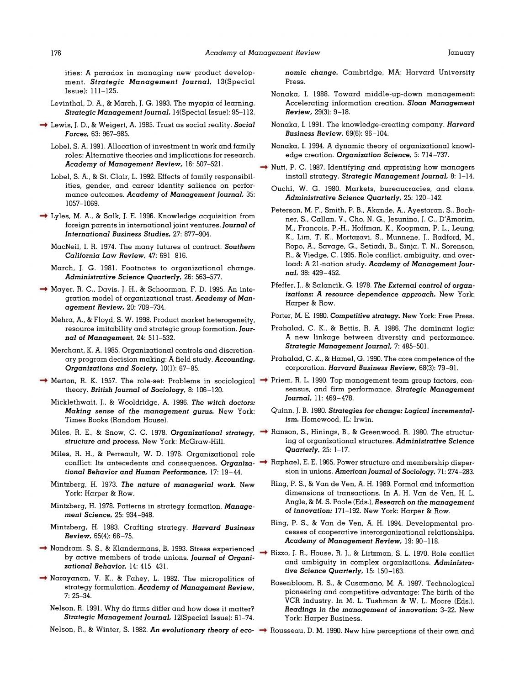**ities: A paradox in managing new product development. Strategic Management Journal, 13(Special Issue): 111-125.** 

- **Levinthal, D. A., & March, J. G. 1993. The myopia of learning. Strategic Management Journal, 14(Special Issue): 95-112.**
- **Lewis, J. D., & Weigert, A. 1985. Trust as social reality. Social Forces, 63: 967-985.** 
	- **Lobel, S. A. 1991. Allocation of investment in work and family roles: Alternative theories and implications for research. Academy of Management Review, 16: 507-521.**
	- **Lobel, S. A., & St. Clair, L. 1992. Effects of family responsibilities, gender, and career identity salience on performance outcomes. Academy of Management Journal, 35: 1057-1069.**
- **Lyles, M. A., & Salk, J. E. 1996. Knowledge acquisition from foreign parents in international joint ventures. Journal of International Business Studies, 27: 877-904.** 
	- **MacNeil, I. R. 1974. The many futures of contract. Southern California Law Review, 47: 691-816.**
	- **March, J. G. 1981. Footnotes to organizational change. Administrative Science Quarterly, 26: 563-577.**
- **Mayer, R. C., Davis, J. H., & Schoorman, F. D. 1995. An integration model of organizational trust. Academy of Management Review, 20: 709-734.** 
	- **Mehra, A., & Floyd, S. W. 1998. Product market heterogeneity, resource imitability and strategic group formation. Journal of Management, 24: 511-532.**
	- **Merchant, K. A. 1985. Organizational controls and discretionary program decision making: A field study. Accounting, Organizations and Society, 10(1): 67-85.**
- **theory. British Journal of Sociology, 8: 106-120.** 
	- **Micklethwait, J., & Wooldridge, A. 1996. The witch doctors: Making sense of the management gurus. New York: Times Books (Random House).**
	- **structure and process. New York: McGraw-Hill.**
	- **Miles, R. H., & Perreault, W. D. 1976. Organizational role tional Behavior and Human Performance, 17: 19-44.**
	- **Mintzberg, H. 1973. The nature of managerial work. New York: Harper & Row.**
	- **Mintzberg, H. 1978. Patterns in strategy formation. Management Science, 25: 934-948.**
	- **Mintzberg, H. 1983. Crafting strategy. Harvard Business Review, 65(4): 66-75.**
- **Nandram, S. S., & Klandermans, B. 1993. Stress experienced by active members of trade unions. Journal of Organizational Behavior, 14: 415-431.**
- **Narayanan, V. K., & Fahey, L. 1982. The micropolitics of strategy formulation. Academy of Management Review, 7: 25-34.** 
	- **Nelson, R. 1991. Why do firms differ and how does it matter? Strategic Management Journal, 12(Special Issue): 61-74.**

 $N$ elson, R., & Winter, S. 1982. *An evolutionary theory of eco- →* Rousseau, D. M. 1990. New hire perceptions of their own and

**nomic change. Cambridge, MA: Harvard University Press.** 

- **Nonaka, I. 1988. Toward middle-up-down management: Accelerating information creation. Sloan Management Review, 29(3): 9-18.**
- **Nonaka, I. 1991. The knowledge-creating company. Harvard Business Review, 69(6): 96-104.**
- **Nonaka, I. 1994. A dynamic theory of organizational knowledge creation. Organization Science, 5: 714-737.**
- **Nutt, P. C. 1987. Identifying and appraising how managers install strategy. Strategic Management Journal, 8: 1-14.** 
	- **Ouchi, W. G. 1980. Markets, bureaucracies, and clans. Administrative Science Quarterly, 25: 120-142.**
	- **Peterson, M. F., Smith, P. B., Akande, A., Ayestaran, S., Bochner, S., Callan, V., Cho, N. G., Jesunino, J. C., D'Amorim, M., Francois, P.-H., Hoffman, K., Koopman, P. L., Leung, K., Lim, T. K., Mortazavi, S., Munnene, J., Radford, M., Ropo, A., Savage, G., Setiadi, B., Sinja, T. N., Sorenson, R., & Viedge, C. 1995. Role conflict, ambiguity, and overload: A 21-nation study. Academy of Management Journal, 38: 429-452.**
	- **Pfeffer, J., & Salancik, G. 1978. The External control of organizations: A resource dependence approach. New York: Harper & Row.**
	- **Porter, M. E. 1980. Competitive strategy. New York: Free Press.**
	- **Prahalad, C. K., & Bettis, R. A. 1986. The dominant logic: A new linkage between diversity and performance. Strategic Management Journal, 7: 485-501.**
	- **Prahalad, C. K., & Hamel, G. 1990. The core competence of the corporation. Harvard Business Review, 68(3): 79-91.**
- **Merton, R. K. 1957. The role-set: Problems in sociological Priem, R. L. 1990. Top management team group factors, consensus, and firm performance. Strategic Management Journal, 11: 469-478.** 
	- **Quinn, J. B. 1980. Strategies for change: Logical incrementalism. Homewood, IL: Irwin.**
- **Miles, R. E., & Snow, C. C. 1978. Organizational strategy, Ranson, S., Hinings, B., & Greenwood, R. 1980. The structuring of organizational structures. Administrative Science Quarterly, 25: 1-17.** 
	- **conflict: Its antecedents and consequences. Organiza-Raphael, E. E. 1965. Power structure and membership dispersion in unions. American Journal of Sociology, 71: 274-283.** 
		- **Ring, P. S., & Van de Ven, A. H. 1989. Formal and information dimensions of transactions. In A. H. Van de Ven, H. L. Angle, & M. S. Poole (Eds.), Research on the management of innovation: 171-192. New York: Harper & Row.**
		- **Ring, P. S., & Van de Ven, A. H. 1994. Developmental processes of cooperative interorganizational relationships. Academy of Management Review, 19: 90-118.**
		- **Rizzo, J. R., House, R. J., & Lirtzman, S. L. 1970. Role conflict and ambiguity in complex organizations. Administrative Science Quarterly, 15: 150-163.** 
			- **Rosenbloom, R. S., & Cusamano, M. A. 1987. Technological pioneering and competitive advantage: The birth of the VCR industry. In M. L. Tushman & W. L. Moore (Eds.), Readings in the management of innovation: 3-22. New York: Harper Business.**
		-